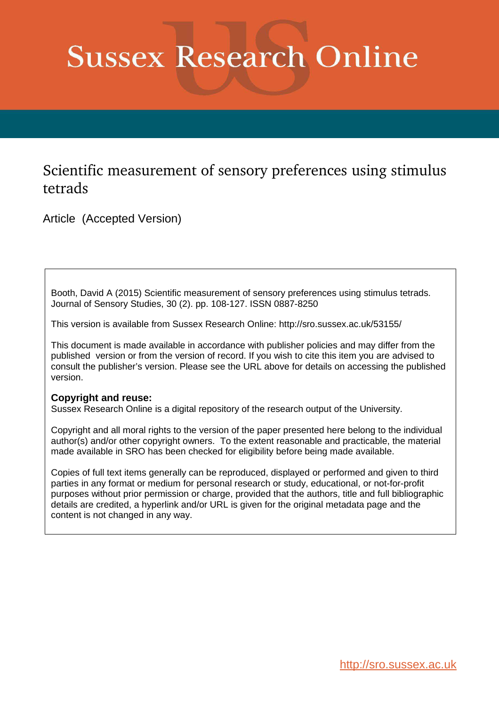# **Sussex Research Online**

## Scientific measurement of sensory preferences using stimulus tetrads

Article (Accepted Version)

Booth, David A (2015) Scientific measurement of sensory preferences using stimulus tetrads. Journal of Sensory Studies, 30 (2). pp. 108-127. ISSN 0887-8250

This version is available from Sussex Research Online: http://sro.sussex.ac.uk/53155/

This document is made available in accordance with publisher policies and may differ from the published version or from the version of record. If you wish to cite this item you are advised to consult the publisher's version. Please see the URL above for details on accessing the published version.

#### **Copyright and reuse:**

Sussex Research Online is a digital repository of the research output of the University.

Copyright and all moral rights to the version of the paper presented here belong to the individual author(s) and/or other copyright owners. To the extent reasonable and practicable, the material made available in SRO has been checked for eligibility before being made available.

Copies of full text items generally can be reproduced, displayed or performed and given to third parties in any format or medium for personal research or study, educational, or not-for-profit purposes without prior permission or charge, provided that the authors, title and full bibliographic details are credited, a hyperlink and/or URL is given for the original metadata page and the content is not changed in any way.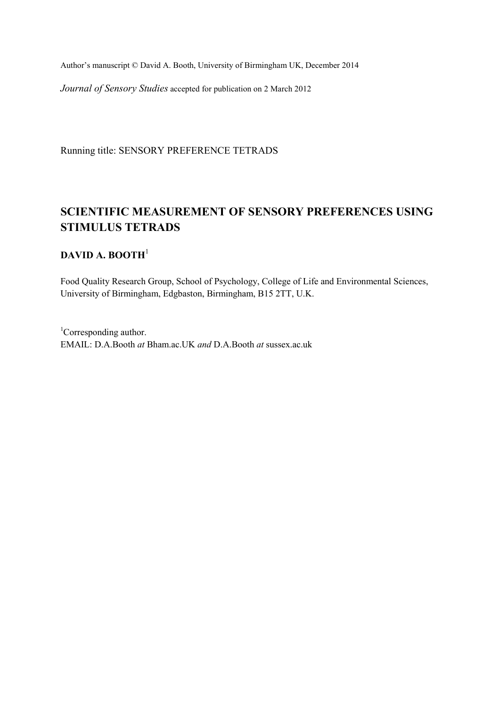Author's manuscript © David A. Booth, University of Birmingham UK, December 2014

Journal of Sensory Studies accepted for publication on 2 March 2012

Running title: SENSORY PREFERENCE TETRADS

## SCIENTIFIC MEASUREMENT OF SENSORY PREFERENCES USING **STIMULUS TETRADS**

#### DAVID A. BOOTH $<sup>1</sup>$ </sup>

Food Quality Research Group, School of Psychology, College of Life and Environmental Sciences, University of Birmingham, Edgbaston, Birmingham, B15 2TT, U.K.

<sup>1</sup>Corresponding author. EMAIL: D.A.Booth at Bham.ac.UK and D.A.Booth at sussex.ac.uk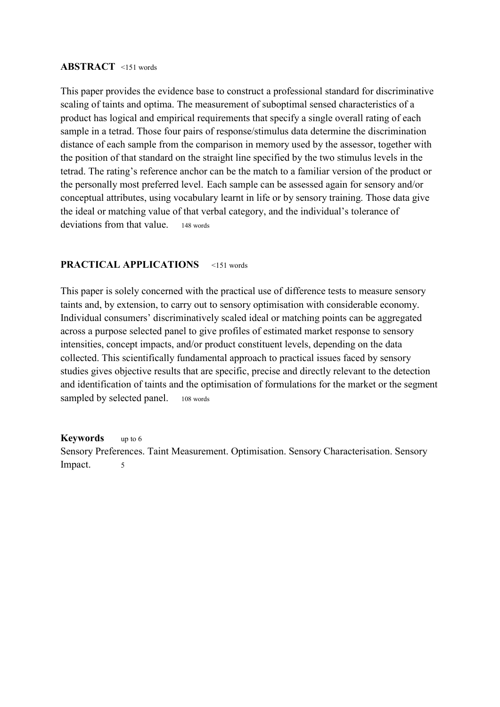#### **ABSTRACT** <151 words

Impact.

 $\overline{5}$ 

This paper provides the evidence base to construct a professional standard for discriminative scaling of taints and optima. The measurement of suboptimal sensed characteristics of a product has logical and empirical requirements that specify a single overall rating of each sample in a tetrad. Those four pairs of response/stimulus data determine the discrimination distance of each sample from the comparison in memory used by the assessor, together with the position of that standard on the straight line specified by the two stimulus levels in the tetrad. The rating's reference anchor can be the match to a familiar version of the product or the personally most preferred level. Each sample can be assessed again for sensory and/or conceptual attributes, using vocabulary learnt in life or by sensory training. Those data give the ideal or matching value of that verbal category, and the individual's tolerance of deviations from that value  $148$  words

#### **PRACTICAL APPLICATIONS** <151 words

This paper is solely concerned with the practical use of difference tests to measure sensory taints and, by extension, to carry out to sensory optimisation with considerable economy. Individual consumers' discriminatively scaled ideal or matching points can be aggregated across a purpose selected panel to give profiles of estimated market response to sensory intensities, concept impacts, and/or product constituent levels, depending on the data collected. This scientifically fundamental approach to practical issues faced by sensory studies gives objective results that are specific, precise and directly relevant to the detection and identification of taints and the optimisation of formulations for the market or the segment sampled by selected panel. 108 words

**Keywords** up to  $6$ Sensory Preferences. Taint Measurement. Optimisation. Sensory Characterisation. Sensory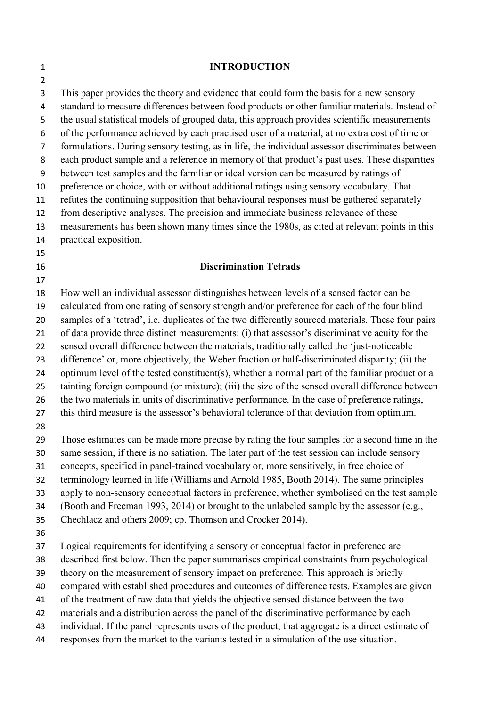#### $\overline{2}$ This paper provides the theory and evidence that could form the basis for a new sensory  $\overline{3}$ standard to measure differences between food products or other familiar materials. Instead of  $\overline{4}$ the usual statistical models of grouped data, this approach provides scientific measurements 5  $6\overline{6}$ of the performance achieved by each practised user of a material, at no extra cost of time or formulations. During sensory testing, as in life, the individual assessor discriminates between  $\overline{7}$ each product sample and a reference in memory of that product's past uses. These disparities 8 between test samples and the familiar or ideal version can be measured by ratings of 9 preference or choice, with or without additional ratings using sensory vocabulary. That 10 refutes the continuing supposition that behavioural responses must be gathered separately  $11$ from descriptive analyses. The precision and immediate business relevance of these 12 measurements has been shown many times since the 1980s, as cited at relevant points in this 13 14 practical exposition. 15 16 **Discrimination Tetrads** 17 18 How well an individual assessor distinguishes between levels of a sensed factor can be calculated from one rating of sensory strength and/or preference for each of the four blind 19 samples of a 'tetrad', i.e. duplicates of the two differently sourced materials. These four pairs 20 of data provide three distinct measurements: (i) that assessor's discriminative acuity for the 21 sensed overall difference between the materials, traditionally called the 'just-noticeable 22 difference' or, more objectively, the Weber fraction or half-discriminated disparity; (ii) the 23 optimum level of the tested constituent(s), whether a normal part of the familiar product or a  $24$ tainting foreign compound (or mixture); (iii) the size of the sensed overall difference between 25 the two materials in units of discriminative performance. In the case of preference ratings, 26 27 this third measure is the assessor's behavioral tolerance of that deviation from optimum. 28 29 Those estimates can be made more precise by rating the four samples for a second time in the same session, if there is no satiation. The later part of the test session can include sensory 30 concepts, specified in panel-trained vocabulary or, more sensitively, in free choice of 31 terminology learned in life (Williams and Arnold 1985, Booth 2014). The same principles 32 apply to non-sensory conceptual factors in preference, whether symbolised on the test sample 33 (Booth and Freeman 1993, 2014) or brought to the unlabeled sample by the assessor (e.g., 34 Chechlacz and others 2009; cp. Thomson and Crocker 2014). 35 36 Logical requirements for identifying a sensory or conceptual factor in preference are 37 described first below. Then the paper summarises empirical constraints from psychological 38 theory on the measurement of sensory impact on preference. This approach is briefly 39 compared with established procedures and outcomes of difference tests. Examples are given 40 of the treatment of raw data that yields the objective sensed distance between the two 41 materials and a distribution across the panel of the discriminative performance by each 42 individual. If the panel represents users of the product, that aggregate is a direct estimate of 43 44 responses from the market to the variants tested in a simulation of the use situation.

**INTRODUCTION** 

 $\mathbf{1}$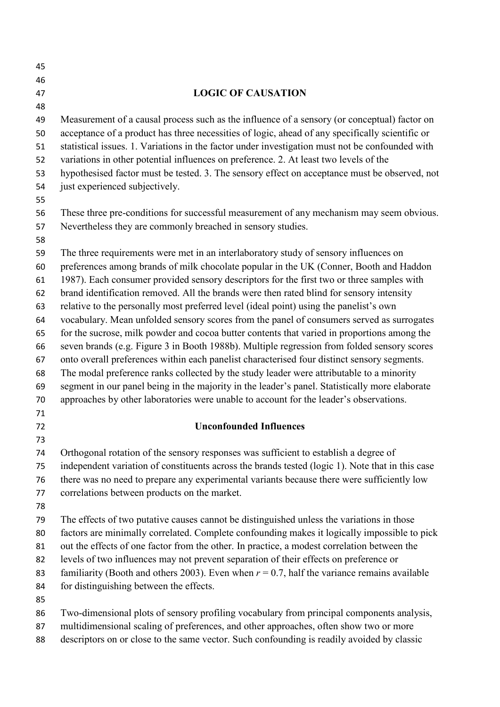| 45             |                                                                                                                                                                                                                                                                                                    |
|----------------|----------------------------------------------------------------------------------------------------------------------------------------------------------------------------------------------------------------------------------------------------------------------------------------------------|
| 46             |                                                                                                                                                                                                                                                                                                    |
| 47             | <b>LOGIC OF CAUSATION</b>                                                                                                                                                                                                                                                                          |
| 48             |                                                                                                                                                                                                                                                                                                    |
| 49<br>50<br>51 | Measurement of a causal process such as the influence of a sensory (or conceptual) factor on<br>acceptance of a product has three necessities of logic, ahead of any specifically scientific or<br>statistical issues. 1. Variations in the factor under investigation must not be confounded with |
| 52             | variations in other potential influences on preference. 2. At least two levels of the                                                                                                                                                                                                              |
| 53<br>54       | hypothesised factor must be tested. 3. The sensory effect on acceptance must be observed, not<br>just experienced subjectively.                                                                                                                                                                    |
| 55             |                                                                                                                                                                                                                                                                                                    |
| 56             | These three pre-conditions for successful measurement of any mechanism may seem obvious.                                                                                                                                                                                                           |
| 57<br>58       | Nevertheless they are commonly breached in sensory studies.                                                                                                                                                                                                                                        |
| 59             | The three requirements were met in an interlaboratory study of sensory influences on                                                                                                                                                                                                               |
| 60             | preferences among brands of milk chocolate popular in the UK (Conner, Booth and Haddon                                                                                                                                                                                                             |
| 61             | 1987). Each consumer provided sensory descriptors for the first two or three samples with                                                                                                                                                                                                          |
| 62             | brand identification removed. All the brands were then rated blind for sensory intensity                                                                                                                                                                                                           |
| 63             | relative to the personally most preferred level (ideal point) using the panelist's own                                                                                                                                                                                                             |
| 64             | vocabulary. Mean unfolded sensory scores from the panel of consumers served as surrogates                                                                                                                                                                                                          |
| 65             | for the sucrose, milk powder and cocoa butter contents that varied in proportions among the                                                                                                                                                                                                        |
| 66             | seven brands (e.g. Figure 3 in Booth 1988b). Multiple regression from folded sensory scores                                                                                                                                                                                                        |
| 67<br>68       | onto overall preferences within each panelist characterised four distinct sensory segments.<br>The modal preference ranks collected by the study leader were attributable to a minority                                                                                                            |
| 69             | segment in our panel being in the majority in the leader's panel. Statistically more elaborate                                                                                                                                                                                                     |
| 70             | approaches by other laboratories were unable to account for the leader's observations.                                                                                                                                                                                                             |
| 71             |                                                                                                                                                                                                                                                                                                    |
| 72             | <b>Unconfounded Influences</b>                                                                                                                                                                                                                                                                     |
| 73             |                                                                                                                                                                                                                                                                                                    |
| 74             | Orthogonal rotation of the sensory responses was sufficient to establish a degree of                                                                                                                                                                                                               |
| 75             | independent variation of constituents across the brands tested (logic 1). Note that in this case                                                                                                                                                                                                   |
| 76             | there was no need to prepare any experimental variants because there were sufficiently low                                                                                                                                                                                                         |
| 77             | correlations between products on the market.                                                                                                                                                                                                                                                       |
| 78             |                                                                                                                                                                                                                                                                                                    |
| 79             | The effects of two putative causes cannot be distinguished unless the variations in those                                                                                                                                                                                                          |
| 80             | factors are minimally correlated. Complete confounding makes it logically impossible to pick                                                                                                                                                                                                       |
| 81             | out the effects of one factor from the other. In practice, a modest correlation between the                                                                                                                                                                                                        |
| 82             | levels of two influences may not prevent separation of their effects on preference or                                                                                                                                                                                                              |
| 83             | familiarity (Booth and others 2003). Even when $r = 0.7$ , half the variance remains available                                                                                                                                                                                                     |
| 84<br>85       | for distinguishing between the effects.                                                                                                                                                                                                                                                            |
| 86             | Two-dimensional plots of sensory profiling vocabulary from principal components analysis,                                                                                                                                                                                                          |
| 87             | multidimensional scaling of preferences, and other approaches, often show two or more                                                                                                                                                                                                              |
| 88             | descriptors on or close to the same vector. Such confounding is readily avoided by classic                                                                                                                                                                                                         |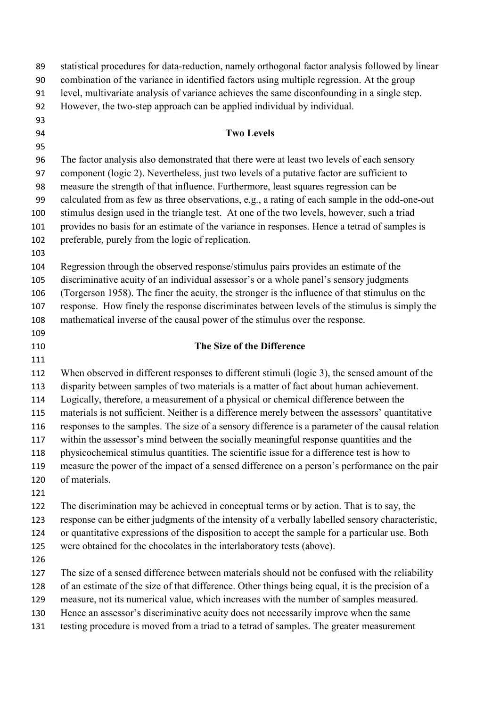| 89         | statistical procedures for data-reduction, namely orthogonal factor analysis followed by linear                                                                                 |
|------------|---------------------------------------------------------------------------------------------------------------------------------------------------------------------------------|
| 90         | combination of the variance in identified factors using multiple regression. At the group                                                                                       |
| 91         | level, multivariate analysis of variance achieves the same disconfounding in a single step.                                                                                     |
| 92         | However, the two-step approach can be applied individual by individual.                                                                                                         |
| 93         |                                                                                                                                                                                 |
| 94         | <b>Two Levels</b>                                                                                                                                                               |
| 95         |                                                                                                                                                                                 |
| 96         | The factor analysis also demonstrated that there were at least two levels of each sensory                                                                                       |
| 97         | component (logic 2). Nevertheless, just two levels of a putative factor are sufficient to                                                                                       |
| 98         | measure the strength of that influence. Furthermore, least squares regression can be                                                                                            |
| 99         | calculated from as few as three observations, e.g., a rating of each sample in the odd-one-out                                                                                  |
| 100        | stimulus design used in the triangle test. At one of the two levels, however, such a triad                                                                                      |
| 101        | provides no basis for an estimate of the variance in responses. Hence a tetrad of samples is                                                                                    |
| 102        | preferable, purely from the logic of replication.                                                                                                                               |
| 103        |                                                                                                                                                                                 |
| 104        | Regression through the observed response/stimulus pairs provides an estimate of the                                                                                             |
| 105        | discriminative acuity of an individual assessor's or a whole panel's sensory judgments                                                                                          |
| 106        | (Torgerson 1958). The finer the acuity, the stronger is the influence of that stimulus on the                                                                                   |
| 107        | response. How finely the response discriminates between levels of the stimulus is simply the                                                                                    |
| 108        | mathematical inverse of the causal power of the stimulus over the response.                                                                                                     |
| 109        |                                                                                                                                                                                 |
| 110        | The Size of the Difference                                                                                                                                                      |
| 111        |                                                                                                                                                                                 |
| 112        | When observed in different responses to different stimuli (logic 3), the sensed amount of the                                                                                   |
| 113<br>114 | disparity between samples of two materials is a matter of fact about human achievement.<br>Logically, therefore, a measurement of a physical or chemical difference between the |
| 115        | materials is not sufficient. Neither is a difference merely between the assessors' quantitative                                                                                 |
| 116        | responses to the samples. The size of a sensory difference is a parameter of the causal relation                                                                                |
| 117        | within the assessor's mind between the socially meaningful response quantities and the                                                                                          |
| 118        | physicochemical stimulus quantities. The scientific issue for a difference test is how to                                                                                       |
| 119        | measure the power of the impact of a sensed difference on a person's performance on the pair                                                                                    |
| 120        | of materials.                                                                                                                                                                   |
| 121        |                                                                                                                                                                                 |
| 122        | The discrimination may be achieved in conceptual terms or by action. That is to say, the                                                                                        |
| 123        | response can be either judgments of the intensity of a verbally labelled sensory characteristic,                                                                                |
| 124        | or quantitative expressions of the disposition to accept the sample for a particular use. Both                                                                                  |
| 125        | were obtained for the chocolates in the interlaboratory tests (above).                                                                                                          |
| 126        |                                                                                                                                                                                 |
| 127        | The size of a sensed difference between materials should not be confused with the reliability                                                                                   |
| 128        | of an estimate of the size of that difference. Other things being equal, it is the precision of a                                                                               |
| 129        | measure, not its numerical value, which increases with the number of samples measured.                                                                                          |
| 130        | Hence an assessor's discriminative acuity does not necessarily improve when the same                                                                                            |
| 131        | testing procedure is moved from a triad to a tetrad of samples. The greater measurement                                                                                         |
|            |                                                                                                                                                                                 |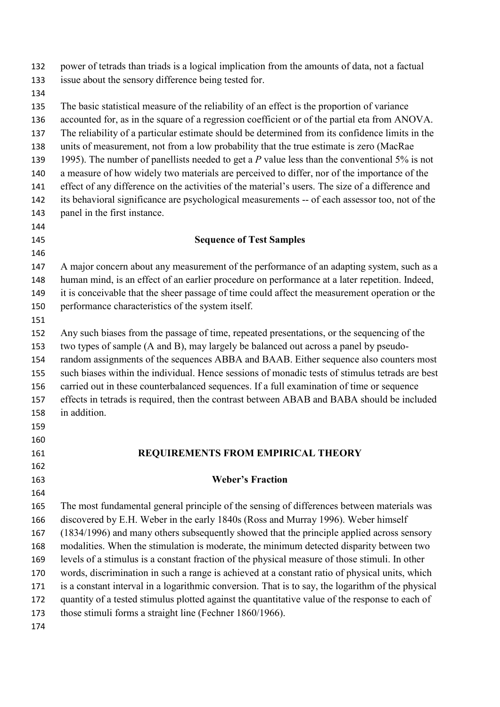| 132<br>133 | power of tetrads than triads is a logical implication from the amounts of data, not a factual<br>issue about the sensory difference being tested for. |
|------------|-------------------------------------------------------------------------------------------------------------------------------------------------------|
| 134        |                                                                                                                                                       |
| 135        | The basic statistical measure of the reliability of an effect is the proportion of variance                                                           |
| 136        | accounted for, as in the square of a regression coefficient or of the partial eta from ANOVA.                                                         |
| 137        | The reliability of a particular estimate should be determined from its confidence limits in the                                                       |
| 138        | units of measurement, not from a low probability that the true estimate is zero (MacRae                                                               |
| 139        | 1995). The number of panellists needed to get a $P$ value less than the conventional 5% is not                                                        |
| 140        | a measure of how widely two materials are perceived to differ, nor of the importance of the                                                           |
| 141        | effect of any difference on the activities of the material's users. The size of a difference and                                                      |
| 142        | its behavioral significance are psychological measurements -- of each assessor too, not of the                                                        |
| 143        | panel in the first instance.                                                                                                                          |
| 144        |                                                                                                                                                       |
| 145        | <b>Sequence of Test Samples</b>                                                                                                                       |
| 146        |                                                                                                                                                       |
| 147        | A major concern about any measurement of the performance of an adapting system, such as a                                                             |
| 148        | human mind, is an effect of an earlier procedure on performance at a later repetition. Indeed,                                                        |
| 149        | it is conceivable that the sheer passage of time could affect the measurement operation or the                                                        |
| 150        | performance characteristics of the system itself.                                                                                                     |
| 151        |                                                                                                                                                       |
| 152        | Any such biases from the passage of time, repeated presentations, or the sequencing of the                                                            |
| 153        | two types of sample (A and B), may largely be balanced out across a panel by pseudo-                                                                  |
| 154        | random assignments of the sequences ABBA and BAAB. Either sequence also counters most                                                                 |
| 155        | such biases within the individual. Hence sessions of monadic tests of stimulus tetrads are best                                                       |
| 156        | carried out in these counterbalanced sequences. If a full examination of time or sequence                                                             |
| 157        | effects in tetrads is required, then the contrast between ABAB and BABA should be included                                                            |
| 158        | in addition.                                                                                                                                          |
| 159        |                                                                                                                                                       |
| 160        |                                                                                                                                                       |
| 161        | REQUIREMENTS FROM EMPIRICAL THEORY                                                                                                                    |
| 162        |                                                                                                                                                       |
| 163        | <b>Weber's Fraction</b>                                                                                                                               |
| 164        |                                                                                                                                                       |
| 165        | The most fundamental general principle of the sensing of differences between materials was                                                            |
| 166        | discovered by E.H. Weber in the early 1840s (Ross and Murray 1996). Weber himself                                                                     |
| 167        | (1834/1996) and many others subsequently showed that the principle applied across sensory                                                             |
| 168        | modalities. When the stimulation is moderate, the minimum detected disparity between two                                                              |
| 169        | levels of a stimulus is a constant fraction of the physical measure of those stimuli. In other                                                        |
| 170        | words, discrimination in such a range is achieved at a constant ratio of physical units, which                                                        |
| 171        | is a constant interval in a logarithmic conversion. That is to say, the logarithm of the physical                                                     |
| 172        | quantity of a tested stimulus plotted against the quantitative value of the response to each of                                                       |
| 173        | those stimuli forms a straight line (Fechner 1860/1966).                                                                                              |
| 174        |                                                                                                                                                       |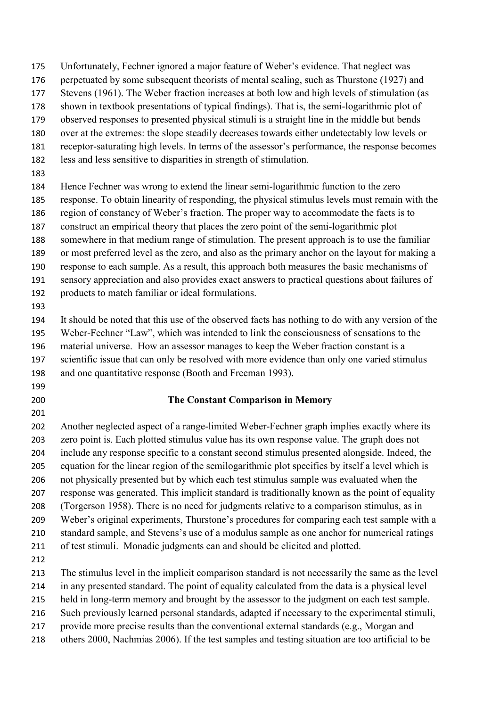Unfortunately, Fechner ignored a major feature of Weber's evidence. That neglect was 175 perpetuated by some subsequent theorists of mental scaling, such as Thurstone (1927) and 176 Stevens (1961). The Weber fraction increases at both low and high levels of stimulation (as 177 shown in textbook presentations of typical findings). That is, the semi-logarithmic plot of 178 179 observed responses to presented physical stimuli is a straight line in the middle but bends 180 over at the extremes: the slope steadily decreases towards either undetectably low levels or receptor-saturating high levels. In terms of the assessor's performance, the response becomes 181 less and less sensitive to disparities in strength of stimulation. 182 183 Hence Fechner was wrong to extend the linear semi-logarithmic function to the zero 184 response. To obtain linearity of responding, the physical stimulus levels must remain with the 185 region of constancy of Weber's fraction. The proper way to accommodate the facts is to 186 construct an empirical theory that places the zero point of the semi-logarithmic plot 187 somewhere in that medium range of stimulation. The present approach is to use the familiar 188 or most preferred level as the zero, and also as the primary anchor on the layout for making a 189 response to each sample. As a result, this approach both measures the basic mechanisms of 190 191 sensory appreciation and also provides exact answers to practical questions about failures of 192 products to match familiar or ideal formulations. 193 It should be noted that this use of the observed facts has nothing to do with any version of the 194 Weber-Fechner "Law", which was intended to link the consciousness of sensations to the 195 material universe. How an assessor manages to keep the Weber fraction constant is a 196 scientific issue that can only be resolved with more evidence than only one varied stimulus 197 and one quantitative response (Booth and Freeman 1993). 198 199 The Constant Comparison in Memory 200 201 Another neglected aspect of a range-limited Weber-Fechner graph implies exactly where its 202 zero point is. Each plotted stimulus value has its own response value. The graph does not 203 include any response specific to a constant second stimulus presented alongside. Indeed, the 204 equation for the linear region of the semilogarithmic plot specifies by itself a level which is 205 not physically presented but by which each test stimulus sample was evaluated when the 206 response was generated. This implicit standard is traditionally known as the point of equality 207 (Torgerson 1958). There is no need for judgments relative to a comparison stimulus, as in 208 Weber's original experiments, Thurstone's procedures for comparing each test sample with a 209 standard sample, and Stevens's use of a modulus sample as one anchor for numerical ratings 210 of test stimuli. Monadic judgments can and should be elicited and plotted. 211 212 213 The stimulus level in the implicit comparison standard is not necessarily the same as the level in any presented standard. The point of equality calculated from the data is a physical level 214 held in long-term memory and brought by the assessor to the judgment on each test sample. 215 Such previously learned personal standards, adapted if necessary to the experimental stimuli, 216 provide more precise results than the conventional external standards (e.g., Morgan and 217 218 others 2000, Nachmias 2006). If the test samples and testing situation are too artificial to be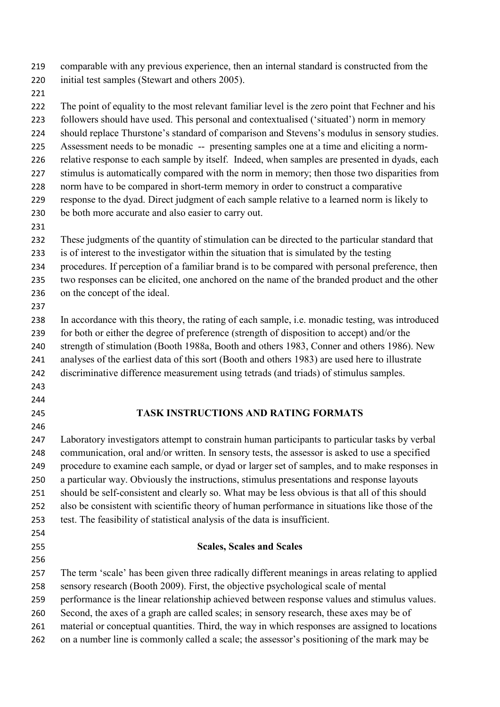comparable with any previous experience, then an internal standard is constructed from the 219 initial test samples (Stewart and others 2005). 220

221

The point of equality to the most relevant familiar level is the zero point that Fechner and his 222 223 followers should have used. This personal and contextualised ('situated') norm in memory 224 should replace Thurstone's standard of comparison and Stevens's modulus in sensory studies. Assessment needs to be monadic -- presenting samples one at a time and eliciting a norm-225 relative response to each sample by itself. Indeed, when samples are presented in dyads, each 226 stimulus is automatically compared with the norm in memory; then those two disparities from 227 norm have to be compared in short-term memory in order to construct a comparative 228 response to the dyad. Direct judgment of each sample relative to a learned norm is likely to 229 be both more accurate and also easier to carry out. 230 231 These judgments of the quantity of stimulation can be directed to the particular standard that 232 is of interest to the investigator within the situation that is simulated by the testing 233 procedures. If perception of a familiar brand is to be compared with personal preference, then 234 235 two responses can be elicited, one anchored on the name of the branded product and the other on the concept of the ideal. 236 237 In accordance with this theory, the rating of each sample, *i.e.* monadic testing, was introduced 238 for both or either the degree of preference (strength of disposition to accept) and/or the 239 strength of stimulation (Booth 1988a, Booth and others 1983, Conner and others 1986). New 240 analyses of the earliest data of this sort (Booth and others 1983) are used here to illustrate 241 discriminative difference measurement using tetrads (and triads) of stimulus samples. 242 243 244 TASK INSTRUCTIONS AND RATING FORMATS 245 246 Laboratory investigators attempt to constrain human participants to particular tasks by verbal 247 communication, oral and/or written. In sensory tests, the assessor is asked to use a specified 248 procedure to examine each sample, or dyad or larger set of samples, and to make responses in 249 a particular way. Obviously the instructions, stimulus presentations and response layouts 250 should be self-consistent and clearly so. What may be less obvious is that all of this should 251 also be consistent with scientific theory of human performance in situations like those of the 252 test. The feasibility of statistical analysis of the data is insufficient. 253 254 **Scales, Scales and Scales** 255 256 257 The term 'scale' has been given three radically different meanings in areas relating to applied sensory research (Booth 2009). First, the objective psychological scale of mental 258 performance is the linear relationship achieved between response values and stimulus values. 259 Second, the axes of a graph are called scales; in sensory research, these axes may be of 260 material or conceptual quantities. Third, the way in which responses are assigned to locations 261 262 on a number line is commonly called a scale; the assessor's positioning of the mark may be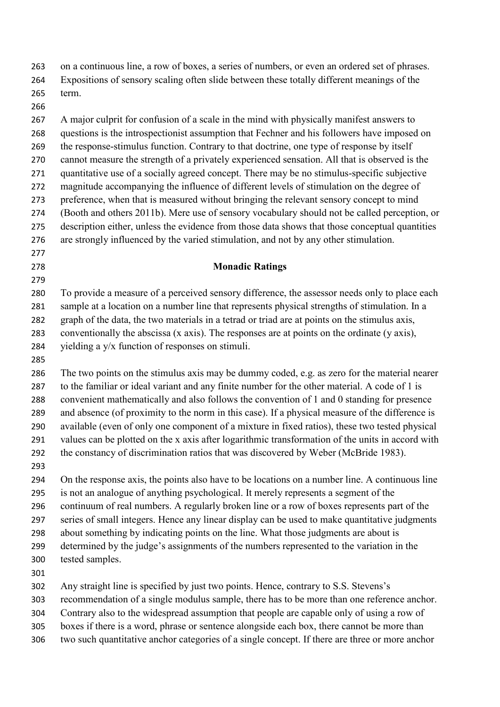on a continuous line, a row of boxes, a series of numbers, or even an ordered set of phrases. 263 Expositions of sensory scaling often slide between these totally different meanings of the 264

265 266 term.

267 A major culprit for confusion of a scale in the mind with physically manifest answers to 268 questions is the introspectionist assumption that Fechner and his followers have imposed on the response-stimulus function. Contrary to that doctrine, one type of response by itself 269 cannot measure the strength of a privately experienced sensation. All that is observed is the 270 quantitative use of a socially agreed concept. There may be no stimulus-specific subjective 271 magnitude accompanying the influence of different levels of stimulation on the degree of 272 preference, when that is measured without bringing the relevant sensory concept to mind 273 (Booth and others 2011b). Mere use of sensory vocabulary should not be called perception, or 274 description either, unless the evidence from those data shows that those conceptual quantities 275 are strongly influenced by the varied stimulation, and not by any other stimulation. 276

- 277
- 278 279

#### **Monadic Ratings**

280 To provide a measure of a perceived sensory difference, the assessor needs only to place each sample at a location on a number line that represents physical strengths of stimulation. In a 281 graph of the data, the two materials in a tetrad or triad are at points on the stimulus axis, 282 conventionally the abscissa (x axis). The responses are at points on the ordinate (y axis), 283 vielding a y/x function of responses on stimuli. 284

285

The two points on the stimulus axis may be dummy coded, e.g. as zero for the material nearer 286 to the familiar or ideal variant and any finite number for the other material. A code of 1 is 287 convenient mathematically and also follows the convention of 1 and 0 standing for presence 288 and absence (of proximity to the norm in this case). If a physical measure of the difference is 289 available (even of only one component of a mixture in fixed ratios), these two tested physical 290 291 values can be plotted on the x axis after logarithmic transformation of the units in accord with 292 the constancy of discrimination ratios that was discovered by Weber (McBride 1983). 293

On the response axis, the points also have to be locations on a number line. A continuous line 294 is not an analogue of anything psychological. It merely represents a segment of the 295 continuum of real numbers. A regularly broken line or a row of boxes represents part of the 296 series of small integers. Hence any linear display can be used to make quantitative judgments 297 about something by indicating points on the line. What those judgments are about is 298 determined by the judge's assignments of the numbers represented to the variation in the 299 tested samples. 300

301

Any straight line is specified by just two points. Hence, contrary to S.S. Stevens's 302

recommendation of a single modulus sample, there has to be more than one reference anchor. 303

Contrary also to the widespread assumption that people are capable only of using a row of 304

boxes if there is a word, phrase or sentence alongside each box, there cannot be more than 305

306 two such quantitative anchor categories of a single concept. If there are three or more anchor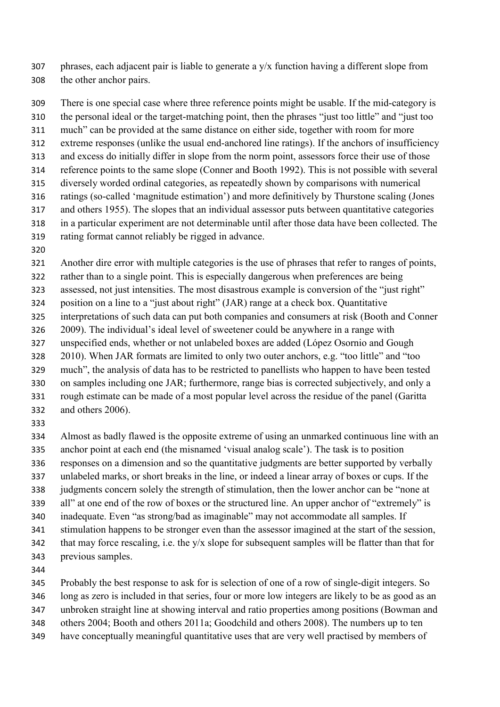phrases, each adjacent pair is liable to generate a y/x function having a different slope from 307 the other anchor pairs. 308

There is one special case where three reference points might be usable. If the mid-category is 309 the personal ideal or the target-matching point, then the phrases "just too little" and "just too" 310 much" can be provided at the same distance on either side, together with room for more 311 extreme responses (unlike the usual end-anchored line ratings). If the anchors of insufficiency 312 and excess do initially differ in slope from the norm point, assessors force their use of those 313 reference points to the same slope (Conner and Booth 1992). This is not possible with several 314 diversely worded ordinal categories, as repeatedly shown by comparisons with numerical 315 ratings (so-called 'magnitude estimation') and more definitively by Thurstone scaling (Jones 316 and others 1955). The slopes that an individual assessor puts between quantitative categories 317 in a particular experiment are not determinable until after those data have been collected. The 318 319 rating format cannot reliably be rigged in advance.

320

Another dire error with multiple categories is the use of phrases that refer to ranges of points, 321 rather than to a single point. This is especially dangerous when preferences are being 322

assessed, not just intensities. The most disastrous example is conversion of the "just right" 323 position on a line to a "just about right" (JAR) range at a check box. Quantitative 324 interpretations of such data can put both companies and consumers at risk (Booth and Conner 325 2009). The individual's ideal level of sweetener could be anywhere in a range with 326 unspecified ends, whether or not unlabeled boxes are added (López Osornio and Gough 327 2010). When JAR formats are limited to only two outer anchors, e.g. "too little" and "too 328 much", the analysis of data has to be restricted to panellists who happen to have been tested 329

- 330 on samples including one JAR; furthermore, range bias is corrected subjectively, and only a rough estimate can be made of a most popular level across the residue of the panel (Garitta 331 and others 2006).
- 332
- 333

334 Almost as badly flawed is the opposite extreme of using an unmarked continuous line with an anchor point at each end (the misnamed 'visual analog scale'). The task is to position 335 336 responses on a dimension and so the quantitative judgments are better supported by verbally unlabeled marks, or short breaks in the line, or indeed a linear array of boxes or cups. If the 337 judgments concern solely the strength of stimulation, then the lower anchor can be "none at 338 all" at one end of the row of boxes or the structured line. An upper anchor of "extremely" is 339 340 inadequate. Even "as strong/bad as imaginable" may not accommodate all samples. If stimulation happens to be stronger even than the assessor imagined at the start of the session, 341 that may force rescaling, i.e. the y/x slope for subsequent samples will be flatter than that for 342 previous samples. 343

344

345 Probably the best response to ask for is selection of one of a row of single-digit integers. So

long as zero is included in that series, four or more low integers are likely to be as good as an 346

unbroken straight line at showing interval and ratio properties among positions (Bowman and 347

others 2004; Booth and others 2011a; Goodchild and others 2008). The numbers up to ten 348

have conceptually meaningful quantitative uses that are very well practised by members of 349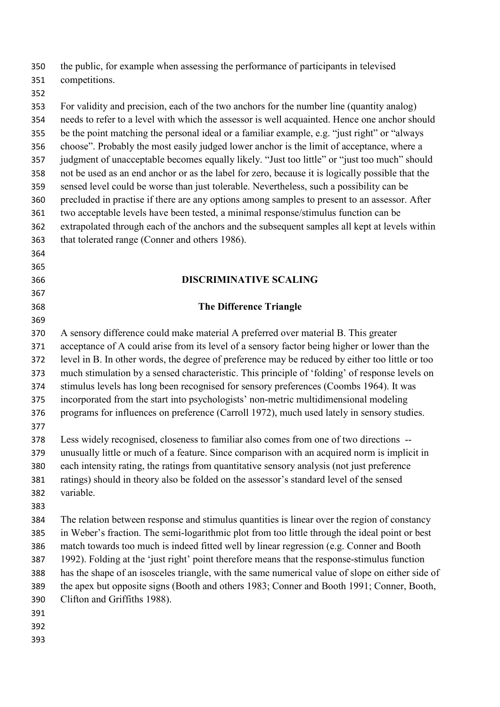| For validity and precision, each of the two anchors for the number line (quantity analog)<br>needs to refer to a level with which the assessor is well acquainted. Hence one anchor should |
|--------------------------------------------------------------------------------------------------------------------------------------------------------------------------------------------|
| be the point matching the personal ideal or a familiar example, e.g. "just right" or "always                                                                                               |
| choose". Probably the most easily judged lower anchor is the limit of acceptance, where a                                                                                                  |
| judgment of unacceptable becomes equally likely. "Just too little" or "just too much" should                                                                                               |
| not be used as an end anchor or as the label for zero, because it is logically possible that the                                                                                           |
| sensed level could be worse than just tolerable. Nevertheless, such a possibility can be                                                                                                   |
| precluded in practise if there are any options among samples to present to an assessor. After                                                                                              |
|                                                                                                                                                                                            |
| extrapolated through each of the anchors and the subsequent samples all kept at levels within                                                                                              |
|                                                                                                                                                                                            |
|                                                                                                                                                                                            |
|                                                                                                                                                                                            |
|                                                                                                                                                                                            |
|                                                                                                                                                                                            |
|                                                                                                                                                                                            |
|                                                                                                                                                                                            |
|                                                                                                                                                                                            |
| acceptance of A could arise from its level of a sensory factor being higher or lower than the                                                                                              |
| level in B. In other words, the degree of preference may be reduced by either too little or too                                                                                            |
| much stimulation by a sensed characteristic. This principle of 'folding' of response levels on                                                                                             |
| stimulus levels has long been recognised for sensory preferences (Coombs 1964). It was                                                                                                     |
| incorporated from the start into psychologists' non-metric multidimensional modeling                                                                                                       |
| programs for influences on preference (Carroll 1972), much used lately in sensory studies.                                                                                                 |
|                                                                                                                                                                                            |
| Less widely recognised, closeness to familiar also comes from one of two directions --                                                                                                     |
| unusually little or much of a feature. Since comparison with an acquired norm is implicit in                                                                                               |
| each intensity rating, the ratings from quantitative sensory analysis (not just preference                                                                                                 |
|                                                                                                                                                                                            |
|                                                                                                                                                                                            |
|                                                                                                                                                                                            |
| The relation between response and stimulus quantities is linear over the region of constancy                                                                                               |
| in Weber's fraction. The semi-logarithmic plot from too little through the ideal point or best                                                                                             |
| match towards too much is indeed fitted well by linear regression (e.g. Conner and Booth                                                                                                   |
| 1992). Folding at the 'just right' point therefore means that the response-stimulus function                                                                                               |
| has the shape of an isosceles triangle, with the same numerical value of slope on either side of                                                                                           |
| the apex but opposite signs (Booth and others 1983; Conner and Booth 1991; Conner, Booth,                                                                                                  |
|                                                                                                                                                                                            |
|                                                                                                                                                                                            |
|                                                                                                                                                                                            |

393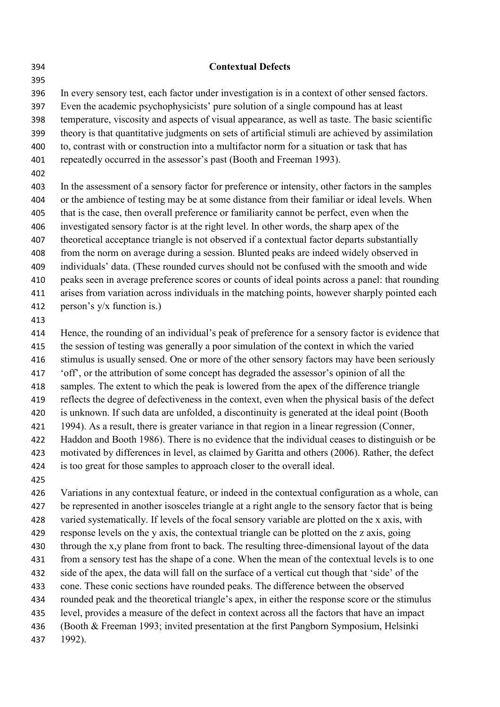**Contextual Defects** 394 395 In every sensory test, each factor under investigation is in a context of other sensed factors. 396 Even the academic psychophysicists' pure solution of a single compound has at least 397 398 temperature, viscosity and aspects of visual appearance, as well as taste. The basic scientific 399 theory is that quantitative judgments on sets of artificial stimuli are achieved by assimilation to, contrast with or construction into a multifactor norm for a situation or task that has 400 repeatedly occurred in the assessor's past (Booth and Freeman 1993). 401 402 In the assessment of a sensory factor for preference or intensity, other factors in the samples 403 or the ambience of testing may be at some distance from their familiar or ideal levels. When 404 that is the case, then overall preference or familiarity cannot be perfect, even when the 405 investigated sensory factor is at the right level. In other words, the sharp apex of the 406 theoretical acceptance triangle is not observed if a contextual factor departs substantially 407 from the norm on average during a session. Blunted peaks are indeed widely observed in 408 individuals' data. (These rounded curves should not be confused with the smooth and wide 409 410 peaks seen in average preference scores or counts of ideal points across a panel: that rounding 411 arises from variation across individuals in the matching points, however sharply pointed each person's  $y/x$  function is.) 412 413 Hence, the rounding of an individual's peak of preference for a sensory factor is evidence that 414 the session of testing was generally a poor simulation of the context in which the varied 415 stimulus is usually sensed. One or more of the other sensory factors may have been seriously 416 'off', or the attribution of some concept has degraded the assessor's opinion of all the 417 samples. The extent to which the peak is lowered from the apex of the difference triangle 418 reflects the degree of defectiveness in the context, even when the physical basis of the defect 419 420 is unknown. If such data are unfolded, a discontinuity is generated at the ideal point (Booth 421 1994). As a result, there is greater variance in that region in a linear regression (Conner, Haddon and Booth 1986). There is no evidence that the individual ceases to distinguish or be 422 423 motivated by differences in level, as claimed by Garitta and others (2006). Rather, the defect 424 is too great for those samples to approach closer to the overall ideal. 425 Variations in any contextual feature, or indeed in the contextual configuration as a whole, can 426 be represented in another isosceles triangle at a right angle to the sensory factor that is being 427 varied systematically. If levels of the focal sensory variable are plotted on the x axis, with 428

response levels on the y axis, the contextual triangle can be plotted on the z axis, going 429 through the x,y plane from front to back. The resulting three-dimensional layout of the data 430

from a sensory test has the shape of a cone. When the mean of the contextual levels is to one 431

side of the apex, the data will fall on the surface of a vertical cut though that 'side' of the 432

cone. These conic sections have rounded peaks. The difference between the observed 433

rounded peak and the theoretical triangle's apex, in either the response score or the stimulus 434

- 435 level, provides a measure of the defect in context across all the factors that have an impact (Booth & Freeman 1993; invited presentation at the first Pangborn Symposium, Helsinki 436
- 437 1992).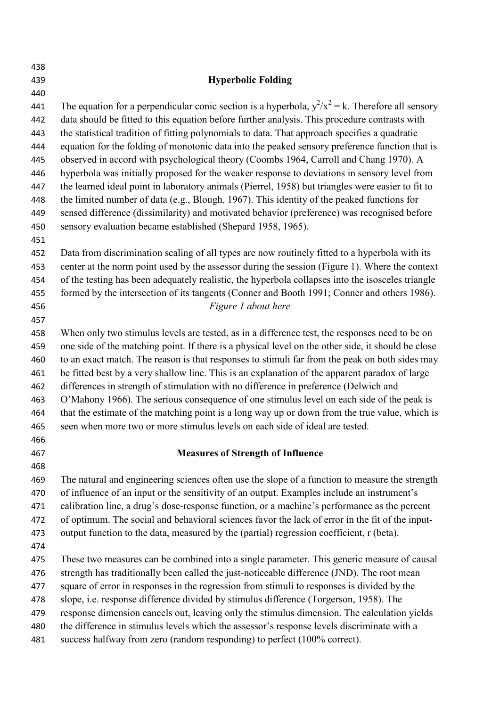| 438 |                                                                                                      |
|-----|------------------------------------------------------------------------------------------------------|
| 439 | <b>Hyperbolic Folding</b>                                                                            |
| 440 |                                                                                                      |
| 441 | The equation for a perpendicular conic section is a hyperbola, $y^2/x^2 = k$ . Therefore all sensory |
| 442 | data should be fitted to this equation before further analysis. This procedure contrasts with        |
| 443 | the statistical tradition of fitting polynomials to data. That approach specifies a quadratic        |
| 444 | equation for the folding of monotonic data into the peaked sensory preference function that is       |
| 445 | observed in accord with psychological theory (Coombs 1964, Carroll and Chang 1970). A                |
| 446 | hyperbola was initially proposed for the weaker response to deviations in sensory level from         |
| 447 | the learned ideal point in laboratory animals (Pierrel, 1958) but triangles were easier to fit to    |
| 448 | the limited number of data (e.g., Blough, 1967). This identity of the peaked functions for           |
| 449 | sensed difference (dissimilarity) and motivated behavior (preference) was recognised before          |
| 450 | sensory evaluation became established (Shepard 1958, 1965).                                          |
| 451 |                                                                                                      |
| 452 | Data from discrimination scaling of all types are now routinely fitted to a hyperbola with its       |
| 453 | center at the norm point used by the assessor during the session (Figure 1). Where the context       |
| 454 | of the testing has been adequately realistic, the hyperbola collapses into the isosceles triangle    |
| 455 | formed by the intersection of its tangents (Conner and Booth 1991; Conner and others 1986).          |
| 456 | Figure 1 about here                                                                                  |
| 457 |                                                                                                      |
| 458 | When only two stimulus levels are tested, as in a difference test, the responses need to be on       |
| 459 | one side of the matching point. If there is a physical level on the other side, it should be close   |
| 460 | to an exact match. The reason is that responses to stimuli far from the peak on both sides may       |
| 461 | be fitted best by a very shallow line. This is an explanation of the apparent paradox of large       |
| 462 | differences in strength of stimulation with no difference in preference (Delwich and                 |
| 463 | O'Mahony 1966). The serious consequence of one stimulus level on each side of the peak is            |
| 464 | that the estimate of the matching point is a long way up or down from the true value, which is       |
| 465 | seen when more two or more stimulus levels on each side of ideal are tested.                         |
| 466 |                                                                                                      |
| 467 | <b>Measures of Strength of Influence</b>                                                             |
| 468 |                                                                                                      |
| 469 | The natural and engineering sciences often use the slope of a function to measure the strength       |
| 470 | of influence of an input or the sensitivity of an output. Examples include an instrument's           |
| 471 | calibration line, a drug's dose-response function, or a machine's performance as the percent         |
| 472 | of optimum. The social and behavioral sciences favor the lack of error in the fit of the input-      |
| 473 | output function to the data, measured by the (partial) regression coefficient, r (beta).             |
| 474 |                                                                                                      |
| 475 | These two measures can be combined into a single parameter. This generic measure of causal           |
| 476 | strength has traditionally been called the just-noticeable difference (JND). The root mean           |
| 477 | square of error in responses in the regression from stimuli to responses is divided by the           |
| 478 | slope, i.e. response difference divided by stimulus difference (Torgerson, 1958). The                |
| 479 | response dimension cancels out, leaving only the stimulus dimension. The calculation yields          |
| 480 | the difference in stimulus levels which the assessor's response levels discriminate with a           |
| 481 | success halfway from zero (random responding) to perfect (100% correct).                             |
|     |                                                                                                      |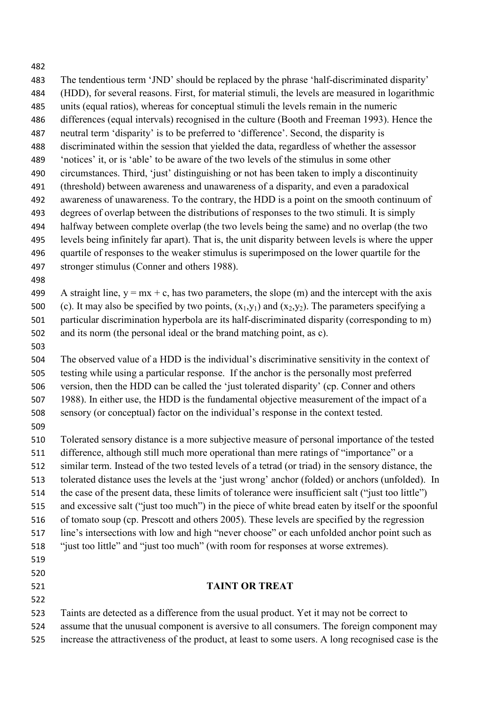482

The tendentious term 'JND' should be replaced by the phrase 'half-discriminated disparity' 483 (HDD), for several reasons. First, for material stimuli, the levels are measured in logarithmic 484 units (equal ratios), whereas for conceptual stimuli the levels remain in the numeric 485 486 differences (equal intervals) recognised in the culture (Booth and Freeman 1993). Hence the 487 neutral term 'disparity' is to be preferred to 'difference'. Second, the disparity is discriminated within the session that yielded the data, regardless of whether the assessor 488 'notices' it, or is 'able' to be aware of the two levels of the stimulus in some other 489 circumstances. Third, 'just' distinguishing or not has been taken to imply a discontinuity 490 (threshold) between awareness and unawareness of a disparity, and even a paradoxical 491 awareness of unawareness. To the contrary, the HDD is a point on the smooth continuum of 492 degrees of overlap between the distributions of responses to the two stimuli. It is simply 493 halfway between complete overlap (the two levels being the same) and no overlap (the two 494 levels being infinitely far apart). That is, the unit disparity between levels is where the upper 495 quartile of responses to the weaker stimulus is superimposed on the lower quartile for the 496 stronger stimulus (Conner and others 1988). 497 498 499

A straight line,  $y = mx + c$ , has two parameters, the slope (m) and the intercept with the axis (c). It may also be specified by two points,  $(x_1,y_1)$  and  $(x_2,y_2)$ . The parameters specifying a 500 particular discrimination hyperbola are its half-discriminated disparity (corresponding to m) 501 and its norm (the personal ideal or the brand matching point, as c). 502

503

The observed value of a HDD is the individual's discriminative sensitivity in the context of 504 testing while using a particular response. If the anchor is the personally most preferred 505 version, then the HDD can be called the 'just tolerated disparity' (cp. Conner and others 506 1988). In either use, the HDD is the fundamental objective measurement of the impact of a 507 sensory (or conceptual) factor on the individual's response in the context tested. 508 509

Tolerated sensory distance is a more subjective measure of personal importance of the tested 510 difference, although still much more operational than mere ratings of "importance" or a 511 similar term. Instead of the two tested levels of a tetrad (or triad) in the sensory distance, the 512 tolerated distance uses the levels at the 'just wrong' anchor (folded) or anchors (unfolded). In 513 the case of the present data, these limits of tolerance were insufficient salt ("just too little") 514 and excessive salt ("just too much") in the piece of white bread eaten by itself or the spoonful 515 of tomato soup (cp. Prescott and others 2005). These levels are specified by the regression 516 line's intersections with low and high "never choose" or each unfolded anchor point such as 517

"just too little" and "just too much" (with room for responses at worse extremes).

- 518
- 519
- 520
- 521

#### **TAINT OR TREAT**

522

Taints are detected as a difference from the usual product. Yet it may not be correct to 523

524 assume that the unusual component is aversive to all consumers. The foreign component may

525 increase the attractiveness of the product, at least to some users. A long recognised case is the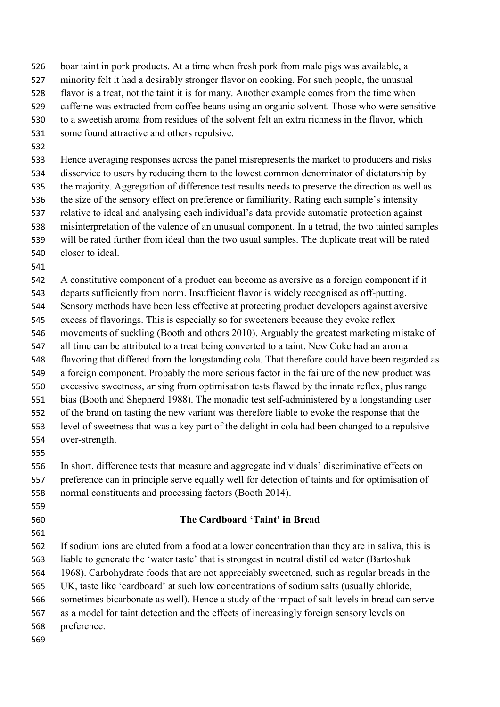boar taint in pork products. At a time when fresh pork from male pigs was available, a 526 minority felt it had a desirably stronger flavor on cooking. For such people, the unusual 527

- flavor is a treat, not the taint it is for many. Another example comes from the time when 528
- caffeine was extracted from coffee beans using an organic solvent. Those who were sensitive 529
- to a sweetish aroma from residues of the solvent felt an extra richness in the flavor, which 530
- 531 some found attractive and others repulsive.
- 532

533 Hence averaging responses across the panel misrepresents the market to producers and risks disservice to users by reducing them to the lowest common denominator of dictatorship by 534 the majority. Aggregation of difference test results needs to preserve the direction as well as 535 the size of the sensory effect on preference or familiarity. Rating each sample's intensity 536 relative to ideal and analysing each individual's data provide automatic protection against 537 misinterpretation of the valence of an unusual component. In a tetrad, the two tainted samples 538 539 will be rated further from ideal than the two usual samples. The duplicate treat will be rated closer to ideal. 540

541

542 A constitutive component of a product can become as aversive as a foreign component if it departs sufficiently from norm. Insufficient flavor is widely recognised as off-putting. 543 Sensory methods have been less effective at protecting product developers against aversive 544 excess of flavorings. This is especially so for sweeteners because they evoke reflex 545 movements of suckling (Booth and others 2010). Arguably the greatest marketing mistake of 546 all time can be attributed to a treat being converted to a taint. New Coke had an aroma 547 flavoring that differed from the longstanding cola. That therefore could have been regarded as 548 a foreign component. Probably the more serious factor in the failure of the new product was 549 excessive sweetness, arising from optimisation tests flawed by the innate reflex, plus range 550 bias (Booth and Shepherd 1988). The monadic test self-administered by a longstanding user 551 of the brand on tasting the new variant was therefore liable to evoke the response that the 552 level of sweetness that was a key part of the delight in cola had been changed to a repulsive 553 over-strength. 554

555

In short, difference tests that measure and aggregate individuals' discriminative effects on 556 preference can in principle serve equally well for detection of taints and for optimisation of 557 normal constituents and processing factors (Booth 2014). 558

- 559
- 560
- 561

### The Cardboard 'Taint' in Bread

If sodium ions are eluted from a food at a lower concentration than they are in saliva, this is 562 liable to generate the 'water taste' that is strongest in neutral distilled water (Bartoshuk 563 564 1968). Carbohydrate foods that are not appreciably sweetened, such as regular breads in the UK, taste like 'cardboard' at such low concentrations of sodium salts (usually chloride, 565 sometimes bicarbonate as well). Hence a study of the impact of salt levels in bread can serve 566 as a model for taint detection and the effects of increasingly foreign sensory levels on 567 preference. 568

569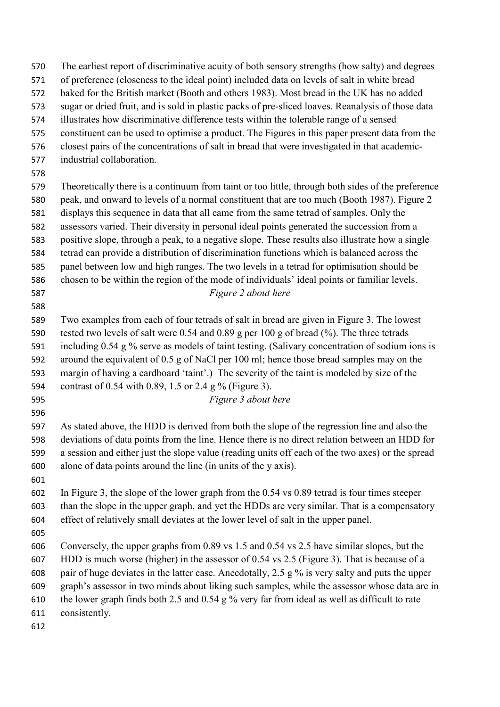| 570 | The earliest report of discriminative acuity of both sensory strengths (how salty) and degrees    |
|-----|---------------------------------------------------------------------------------------------------|
| 571 | of preference (closeness to the ideal point) included data on levels of salt in white bread       |
| 572 | baked for the British market (Booth and others 1983). Most bread in the UK has no added           |
| 573 | sugar or dried fruit, and is sold in plastic packs of pre-sliced loaves. Reanalysis of those data |
| 574 | illustrates how discriminative difference tests within the tolerable range of a sensed            |
| 575 | constituent can be used to optimise a product. The Figures in this paper present data from the    |
| 576 | closest pairs of the concentrations of salt in bread that were investigated in that academic-     |
| 577 | industrial collaboration.                                                                         |
| 578 |                                                                                                   |
| 579 | Theoretically there is a continuum from taint or too little, through both sides of the preference |
| 580 | peak, and onward to levels of a normal constituent that are too much (Booth 1987). Figure 2       |
| 581 | displays this sequence in data that all came from the same tetrad of samples. Only the            |
| 582 | assessors varied. Their diversity in personal ideal points generated the succession from a        |
| 583 | positive slope, through a peak, to a negative slope. These results also illustrate how a single   |
| 584 | tetrad can provide a distribution of discrimination functions which is balanced across the        |
| 585 | panel between low and high ranges. The two levels in a tetrad for optimisation should be          |
| 586 | chosen to be within the region of the mode of individuals' ideal points or familiar levels.       |
| 587 | Figure 2 about here                                                                               |
| 588 |                                                                                                   |
| 589 | Two examples from each of four tetrads of salt in bread are given in Figure 3. The lowest         |
| 590 | tested two levels of salt were 0.54 and 0.89 g per 100 g of bread (%). The three tetrads          |
| 591 | including 0.54 g % serve as models of taint testing. (Salivary concentration of sodium ions is    |
| 592 | around the equivalent of 0.5 g of NaCl per 100 ml; hence those bread samples may on the           |
| 593 | margin of having a cardboard 'taint'.) The severity of the taint is modeled by size of the        |
| 594 | contrast of 0.54 with 0.89, 1.5 or 2.4 g % (Figure 3).                                            |
| 595 | Figure 3 about here                                                                               |
| 596 |                                                                                                   |
| 597 | As stated above, the HDD is derived from both the slope of the regression line and also the       |
| 598 | deviations of data points from the line. Hence there is no direct relation between an HDD for     |
| 599 | a session and either just the slope value (reading units off each of the two axes) or the spread  |
| 600 | alone of data points around the line (in units of the y axis).                                    |
| 601 |                                                                                                   |
| 602 | In Figure 3, the slope of the lower graph from the $0.54$ vs $0.89$ tetrad is four times steeper  |
| 603 | than the slope in the upper graph, and yet the HDDs are very similar. That is a compensatory      |
| 604 | effect of relatively small deviates at the lower level of salt in the upper panel.                |
| 605 |                                                                                                   |
| 606 | Conversely, the upper graphs from 0.89 vs 1.5 and 0.54 vs 2.5 have similar slopes, but the        |
| 607 | HDD is much worse (higher) in the assessor of 0.54 vs 2.5 (Figure 3). That is because of a        |
| 608 | pair of huge deviates in the latter case. Anecdotally, 2.5 g % is very salty and puts the upper   |
| 609 | graph's assessor in two minds about liking such samples, while the assessor whose data are in     |
| 610 | the lower graph finds both 2.5 and 0.54 g $\%$ very far from ideal as well as difficult to rate   |
| 611 | consistently.                                                                                     |
| 612 |                                                                                                   |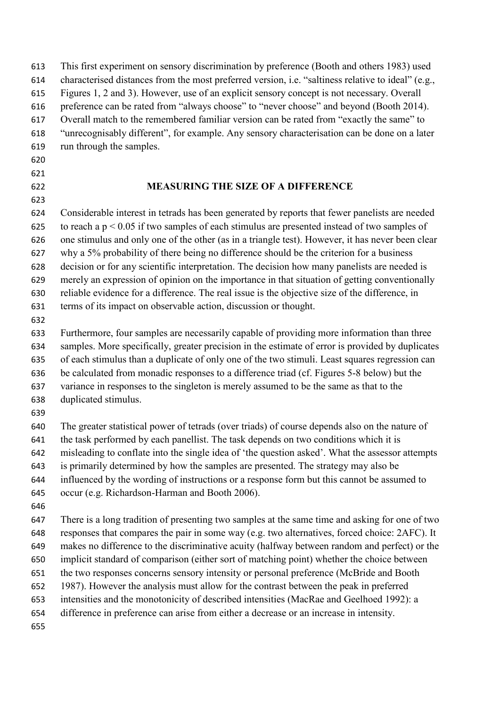- This first experiment on sensory discrimination by preference (Booth and others 1983) used 613
- characterised distances from the most preferred version, i.e. "saltiness relative to ideal" (e.g., 614
- Figures 1, 2 and 3). However, use of an explicit sensory concept is not necessary. Overall 615
- preference can be rated from "always choose" to "never choose" and beyond (Booth 2014). 616
- Overall match to the remembered familiar version can be rated from "exactly the same" to 617
- 618 "unrecognisably different", for example. Any sensory characterisation can be done on a later run through the samples. 619
- 620
- 621
- 622 623

### **MEASURING THE SIZE OF A DIFFERENCE**

Considerable interest in tetrads has been generated by reports that fewer panelists are needed 624 to reach a  $p \le 0.05$  if two samples of each stimulus are presented instead of two samples of 625 one stimulus and only one of the other (as in a triangle test). However, it has never been clear 626 why a 5% probability of there being no difference should be the criterion for a business 627 decision or for any scientific interpretation. The decision how many panelists are needed is 628 629 merely an expression of opinion on the importance in that situation of getting conventionally reliable evidence for a difference. The real issue is the objective size of the difference, in 630 terms of its impact on observable action, discussion or thought. 631

632

Furthermore, four samples are necessarily capable of providing more information than three 633 samples. More specifically, greater precision in the estimate of error is provided by duplicates 634 of each stimulus than a duplicate of only one of the two stimuli. Least squares regression can 635 be calculated from monadic responses to a difference triad (cf. Figures 5-8 below) but the 636

- variance in responses to the singleton is merely assumed to be the same as that to the 637
- duplicated stimulus. 638
- 639

The greater statistical power of tetrads (over triads) of course depends also on the nature of 640 the task performed by each panellist. The task depends on two conditions which it is 641

- misleading to conflate into the single idea of 'the question asked'. What the assessor attempts
- 642 is primarily determined by how the samples are presented. The strategy may also be 643
- influenced by the wording of instructions or a response form but this cannot be assumed to 644
- occur (e.g. Richardson-Harman and Booth 2006). 645
- 646

There is a long tradition of presenting two samples at the same time and asking for one of two 647 responses that compares the pair in some way (e.g. two alternatives, forced choice: 2AFC). It 648 makes no difference to the discriminative acuity (halfway between random and perfect) or the 649 implicit standard of comparison (either sort of matching point) whether the choice between 650 the two responses concerns sensory intensity or personal preference (McBride and Booth 651 1987). However the analysis must allow for the contrast between the peak in preferred 652

- intensities and the monotonicity of described intensities (MacRae and Geelhoed 1992): a 653
- difference in preference can arise from either a decrease or an increase in intensity. 654
- 655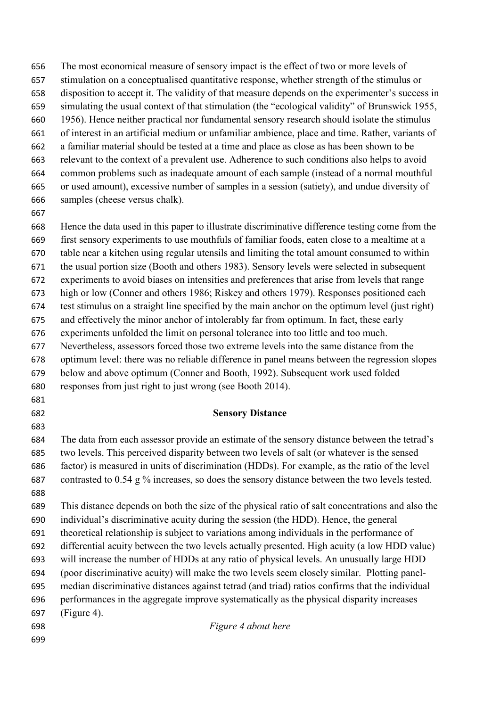The most economical measure of sensory impact is the effect of two or more levels of 656 stimulation on a conceptualised quantitative response, whether strength of the stimulus or 657 disposition to accept it. The validity of that measure depends on the experimenter's success in 658 simulating the usual context of that stimulation (the "ecological validity" of Brunswick 1955, 659 1956). Hence neither practical nor fundamental sensory research should isolate the stimulus 660 of interest in an artificial medium or unfamiliar ambience, place and time. Rather, variants of 661 a familiar material should be tested at a time and place as close as has been shown to be 662 relevant to the context of a prevalent use. Adherence to such conditions also helps to avoid 663 common problems such as inadequate amount of each sample (instead of a normal mouthful 664 or used amount), excessive number of samples in a session (satiety), and undue diversity of 665 samples (cheese versus chalk). 666 667

Hence the data used in this paper to illustrate discriminative difference testing come from the 668 first sensory experiments to use mouthfuls of familiar foods, eaten close to a mealtime at a 669 table near a kitchen using regular utensils and limiting the total amount consumed to within 670 the usual portion size (Booth and others 1983). Sensory levels were selected in subsequent 671 672 experiments to avoid biases on intensities and preferences that arise from levels that range high or low (Conner and others 1986; Riskey and others 1979). Responses positioned each 673 test stimulus on a straight line specified by the main anchor on the optimum level (just right) 674 and effectively the minor anchor of intolerably far from optimum. In fact, these early 675 experiments unfolded the limit on personal tolerance into too little and too much. 676 Nevertheless, assessors forced those two extreme levels into the same distance from the 677 optimum level: there was no reliable difference in panel means between the regression slopes 678 below and above optimum (Conner and Booth, 1992). Subsequent work used folded 679 responses from just right to just wrong (see Booth 2014). 680 681 **Sensory Distance** 682 683 The data from each assessor provide an estimate of the sensory distance between the tetrad's 684 two levels. This perceived disparity between two levels of salt (or whatever is the sensed 685 factor) is measured in units of discrimination (HDDs). For example, as the ratio of the level 686 contrasted to 0.54 g % increases, so does the sensory distance between the two levels tested. 687 688 This distance depends on both the size of the physical ratio of salt concentrations and also the 689 individual's discriminative acuity during the session (the HDD). Hence, the general 690 theoretical relationship is subject to variations among individuals in the performance of 691 differential acuity between the two levels actually presented. High acuity (a low HDD value) 692 will increase the number of HDDs at any ratio of physical levels. An unusually large HDD 693 (poor discriminative acuity) will make the two levels seem closely similar. Plotting panel-694 median discriminative distances against tetrad (and triad) ratios confirms that the individual 695 performances in the aggregate improve systematically as the physical disparity increases 696 (Figure 4). 697

Figure 4 about here

698 699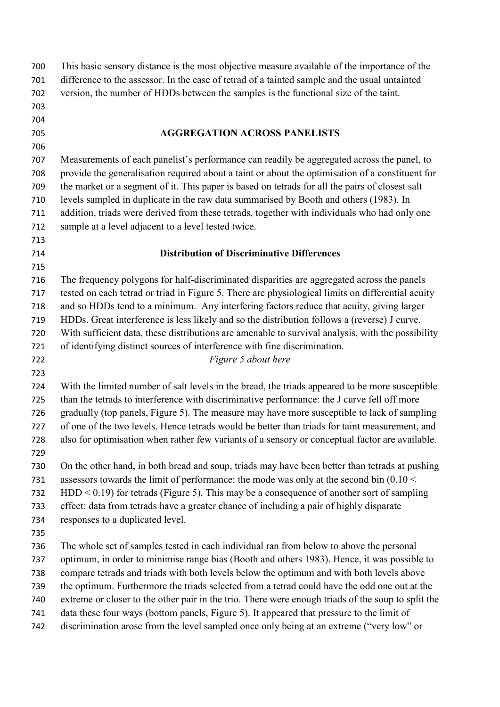This basic sensory distance is the most objective measure available of the importance of the 700 difference to the assessor. In the case of tetrad of a tainted sample and the usual untainted 701 version, the number of HDDs between the samples is the functional size of the taint. 702 703 704 **AGGREGATION ACROSS PANELISTS** 705 706 707 Measurements of each panelist's performance can readily be aggregated across the panel, to provide the generalisation required about a taint or about the optimisation of a constituent for 708 the market or a segment of it. This paper is based on tetrads for all the pairs of closest salt 709 levels sampled in duplicate in the raw data summarised by Booth and others (1983). In 710 addition, triads were derived from these tetrads, together with individuals who had only one 711 sample at a level adjacent to a level tested twice. 712 713 **Distribution of Discriminative Differences** 714 715 716 The frequency polygons for half-discriminated disparities are aggregated across the panels 717 tested on each tetrad or triad in Figure 5. There are physiological limits on differential acuity and so HDDs tend to a minimum. Any interfering factors reduce that acuity, giving larger 718 HDDs. Great interference is less likely and so the distribution follows a (reverse) J curve. 719 With sufficient data, these distributions are amenable to survival analysis, with the possibility 720 of identifying distinct sources of interference with fine discrimination. 721 722 Figure 5 about here 723 With the limited number of salt levels in the bread, the triads appeared to be more susceptible 724 than the tetrads to interference with discriminative performance: the J curve fell off more 725 gradually (top panels, Figure 5). The measure may have more susceptible to lack of sampling 726 727 of one of the two levels. Hence tetrads would be better than triads for taint measurement, and 728 also for optimisation when rather few variants of a sensory or conceptual factor are available. 729 730 On the other hand, in both bread and soup, triads may have been better than tetrads at pushing assessors towards the limit of performance: the mode was only at the second bin  $(0.10 \le$ 731  $HDD < 0.19$  for tetrads (Figure 5). This may be a consequence of another sort of sampling 732 effect: data from tetrads have a greater chance of including a pair of highly disparate 733 responses to a duplicated level. 734 735 The whole set of samples tested in each individual ran from below to above the personal 736 optimum, in order to minimise range bias (Booth and others 1983). Hence, it was possible to 737 738 compare tetrads and triads with both levels below the optimum and with both levels above the optimum. Furthermore the triads selected from a tetrad could have the odd one out at the 739 extreme or closer to the other pair in the trio. There were enough triads of the soup to split the 740 data these four ways (bottom panels, Figure 5). It appeared that pressure to the limit of 741 discrimination arose from the level sampled once only being at an extreme ("very low" or 742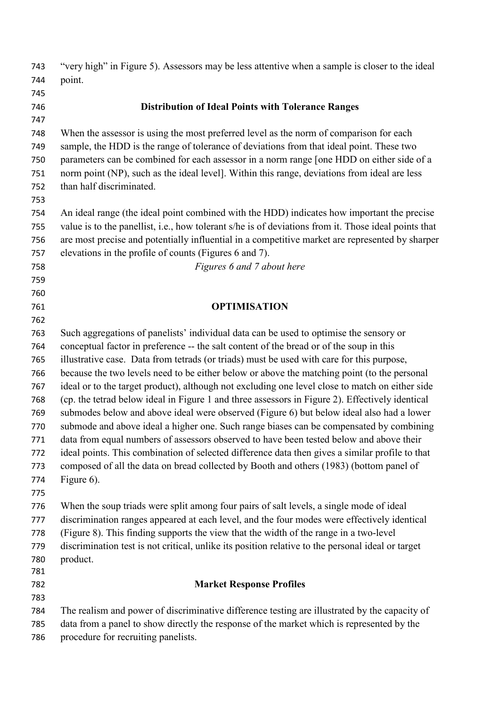"very high" in Figure 5). Assessors may be less attentive when a sample is closer to the ideal 743 point. 744 745 **Distribution of Ideal Points with Tolerance Ranges** 746 747 748 When the assessor is using the most preferred level as the norm of comparison for each sample, the HDD is the range of tolerance of deviations from that ideal point. These two 749 parameters can be combined for each assessor in a norm range [one HDD on either side of a 750 norm point (NP), such as the ideal level]. Within this range, deviations from ideal are less 751 than half discriminated. 752 753 An ideal range (the ideal point combined with the HDD) indicates how important the precise 754 value is to the panellist, i.e., how tolerant s/he is of deviations from it. Those ideal points that 755 are most precise and potentially influential in a competitive market are represented by sharper 756 elevations in the profile of counts (Figures 6 and 7). 757 Figures 6 and 7 about here 758 759 760 761 **OPTIMISATION** 762 Such aggregations of panelists' individual data can be used to optimise the sensory or 763 conceptual factor in preference -- the salt content of the bread or of the soup in this 764 illustrative case. Data from tetrads (or triads) must be used with care for this purpose, 765 because the two levels need to be either below or above the matching point (to the personal 766 ideal or to the target product), although not excluding one level close to match on either side 767 (cp. the tetrad below ideal in Figure 1 and three assessors in Figure 2). Effectively identical 768 submodes below and above ideal were observed (Figure 6) but below ideal also had a lower 769 770 submode and above ideal a higher one. Such range biases can be compensated by combining data from equal numbers of assessors observed to have been tested below and above their 771 ideal points. This combination of selected difference data then gives a similar profile to that 772 773 composed of all the data on bread collected by Booth and others (1983) (bottom panel of Figure 6). 774 775 When the soup triads were split among four pairs of salt levels, a single mode of ideal 776 discrimination ranges appeared at each level, and the four modes were effectively identical 777 (Figure 8). This finding supports the view that the width of the range in a two-level 778 discrimination test is not critical, unlike its position relative to the personal ideal or target 779 780 product. 781 **Market Response Profiles** 782 783 The realism and power of discriminative difference testing are illustrated by the capacity of 784 data from a panel to show directly the response of the market which is represented by the 785 procedure for recruiting panelists. 786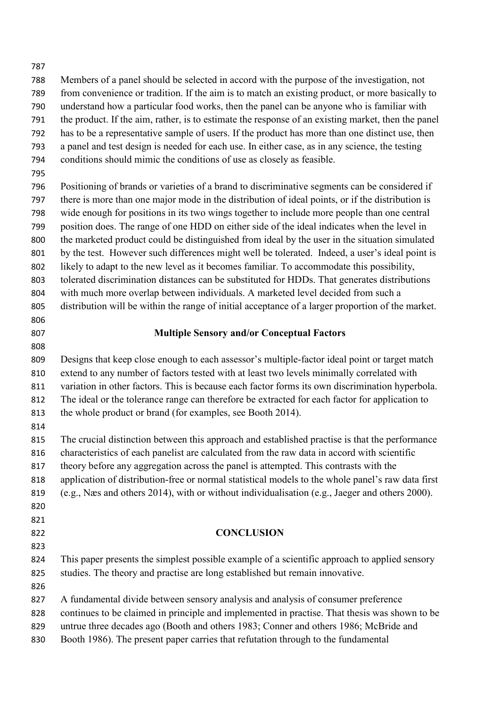787

Members of a panel should be selected in accord with the purpose of the investigation, not 788 from convenience or tradition. If the aim is to match an existing product, or more basically to 789 understand how a particular food works, then the panel can be anyone who is familiar with 790 791 the product. If the aim, rather, is to estimate the response of an existing market, then the panel 792 has to be a representative sample of users. If the product has more than one distinct use, then a panel and test design is needed for each use. In either case, as in any science, the testing 793 794 conditions should mimic the conditions of use as closely as feasible. 795 Positioning of brands or varieties of a brand to discriminative segments can be considered if 796

797 there is more than one major mode in the distribution of ideal points, or if the distribution is wide enough for positions in its two wings together to include more people than one central 798 position does. The range of one HDD on either side of the ideal indicates when the level in 799 the marketed product could be distinguished from ideal by the user in the situation simulated 800 by the test. However such differences might well be tolerated. Indeed, a user's ideal point is 801 likely to adapt to the new level as it becomes familiar. To accommodate this possibility, 802 803 tolerated discrimination distances can be substituted for HDDs. That generates distributions 804 with much more overlap between individuals. A marketed level decided from such a distribution will be within the range of initial acceptance of a larger proportion of the market. 805

- 806
- 807 808

#### **Multiple Sensory and/or Conceptual Factors**

Designs that keep close enough to each assessor's multiple-factor ideal point or target match 809 extend to any number of factors tested with at least two levels minimally correlated with 810 variation in other factors. This is because each factor forms its own discrimination hyperbola. 811 The ideal or the tolerance range can therefore be extracted for each factor for application to 812 the whole product or brand (for examples, see Booth 2014). 813

814

The crucial distinction between this approach and established practise is that the performance 815 characteristics of each panelist are calculated from the raw data in accord with scientific 816 theory before any aggregation across the panel is attempted. This contrasts with the 817

application of distribution-free or normal statistical models to the whole panel's raw data first 818  $(e.g., Næs and others 2014)$ , with or without individualisation  $(e.g., Jaeger and others 2000)$ . 819

- 820
- 821
- 822

#### 823

#### **CONCLUSION**

This paper presents the simplest possible example of a scientific approach to applied sensory 824 825 studies. The theory and practise are long established but remain innovative.

- 826 A fundamental divide between sensory analysis and analysis of consumer preference 827
	- continues to be claimed in principle and implemented in practise. That thesis was shown to be 828
	- untrue three decades ago (Booth and others 1983; Conner and others 1986; McBride and 829
	- 830 Booth 1986). The present paper carries that refutation through to the fundamental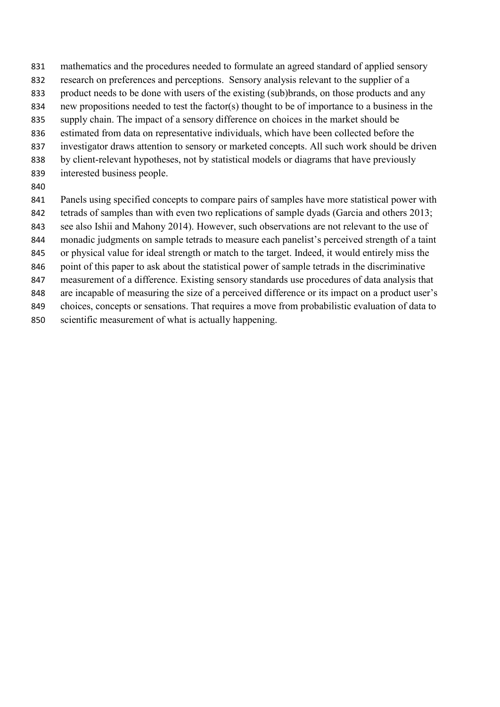- mathematics and the procedures needed to formulate an agreed standard of applied sensory 831
- research on preferences and perceptions. Sensory analysis relevant to the supplier of a 832
- product needs to be done with users of the existing (sub)brands, on those products and any 833
- new propositions needed to test the factor(s) thought to be of importance to a business in the 834
- supply chain. The impact of a sensory difference on choices in the market should be 835
- 836 estimated from data on representative individuals, which have been collected before the
- investigator draws attention to sensory or marketed concepts. All such work should be driven 837
- by client-relevant hypotheses, not by statistical models or diagrams that have previously 838
- interested business people. 839
- 840
- Panels using specified concepts to compare pairs of samples have more statistical power with 841
- tetrads of samples than with even two replications of sample dyads (Garcia and others 2013; 842
- see also Ishii and Mahony 2014). However, such observations are not relevant to the use of 843
- monadic judgments on sample tetrads to measure each panelist's perceived strength of a taint 844
- or physical value for ideal strength or match to the target. Indeed, it would entirely miss the 845
- point of this paper to ask about the statistical power of sample tetrads in the discriminative 846
- 847 measurement of a difference. Existing sensory standards use procedures of data analysis that
- are incapable of measuring the size of a perceived difference or its impact on a product user's 848
- choices, concepts or sensations. That requires a move from probabilistic evaluation of data to 849
- scientific measurement of what is actually happening. 850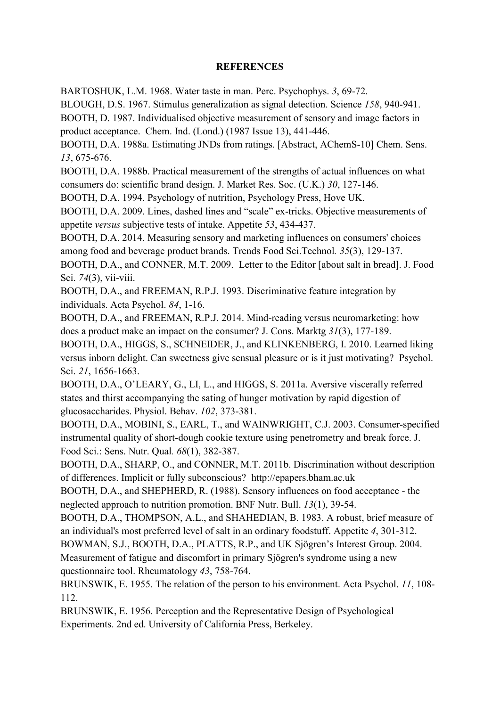#### **REFERENCES**

BARTOSHUK, L.M. 1968. Water taste in man. Perc. Psychophys. 3, 69-72.

BLOUGH, D.S. 1967. Stimulus generalization as signal detection. Science 158, 940-941.

BOOTH, D. 1987. Individualised objective measurement of sensory and image factors in product acceptance. Chem. Ind. (Lond.) (1987 Issue 13), 441-446.

BOOTH, D.A. 1988a. Estimating JNDs from ratings. [Abstract, AChemS-10] Chem. Sens. 13, 675-676.

BOOTH, D.A. 1988b. Practical measurement of the strengths of actual influences on what consumers do: scientific brand design. J. Market Res. Soc. (U.K.) 30, 127-146.

BOOTH, D.A. 1994. Psychology of nutrition. Psychology Press, Hove UK.

BOOTH, D.A. 2009. Lines, dashed lines and "scale" ex-tricks. Objective measurements of appetite versus subjective tests of intake. Appetite 53, 434-437.

BOOTH, D.A. 2014. Measuring sensory and marketing influences on consumers' choices among food and beverage product brands. Trends Food Sci. Technol. 35(3), 129-137.

BOOTH, D.A., and CONNER, M.T. 2009. Letter to the Editor [about salt in bread]. J. Food Sci. 74(3), vii-viii.

BOOTH, D.A., and FREEMAN, R.P.J. 1993. Discriminative feature integration by individuals. Acta Psychol. 84, 1-16.

BOOTH, D.A., and FREEMAN, R.P.J. 2014. Mind-reading versus neuromarketing: how does a product make an impact on the consumer? J. Cons. Marktg  $31(3)$ , 177-189.

BOOTH, D.A., HIGGS, S., SCHNEIDER, J., and KLINKENBERG, I. 2010. Learned liking versus inborn delight. Can sweetness give sensual pleasure or is it just motivating? Psychol. Sci. 21, 1656-1663.

BOOTH, D.A., O'LEARY, G., LI, L., and HIGGS, S. 2011a. Aversive viscerally referred states and thirst accompanying the sating of hunger motivation by rapid digestion of glucosaccharides. Physiol. Behav. 102, 373-381.

BOOTH, D.A., MOBINI, S., EARL, T., and WAINWRIGHT, C.J. 2003. Consumer-specified instrumental quality of short-dough cookie texture using penetrometry and break force. J. Food Sci.: Sens. Nutr. Qual. 68(1), 382-387.

BOOTH, D.A., SHARP, O., and CONNER, M.T. 2011b. Discrimination without description of differences. Implicit or fully subconscious? http://epapers.bham.ac.uk

BOOTH, D.A., and SHEPHERD, R. (1988). Sensory influences on food acceptance - the neglected approach to nutrition promotion. BNF Nutr. Bull. 13(1), 39-54.

BOOTH, D.A., THOMPSON, A.L., and SHAHEDIAN, B. 1983. A robust, brief measure of an individual's most preferred level of salt in an ordinary foodstuff. Appetite 4, 301-312.

BOWMAN, S.J., BOOTH, D.A., PLATTS, R.P., and UK Sjögren's Interest Group. 2004. Measurement of fatigue and discomfort in primary Sjögren's syndrome using a new questionnaire tool. Rheumatology 43, 758-764.

BRUNSWIK, E. 1955. The relation of the person to his environment. Acta Psychol. 11, 108-112.

BRUNSWIK, E. 1956. Perception and the Representative Design of Psychological Experiments. 2nd ed. University of California Press, Berkeley.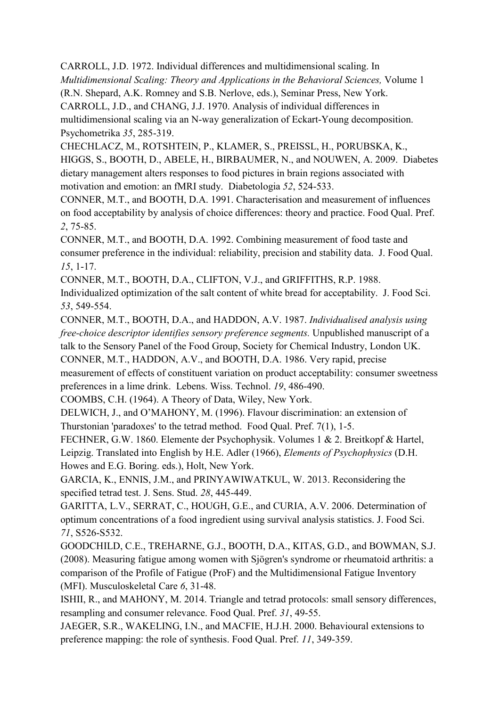CARROLL, J.D. 1972. Individual differences and multidimensional scaling. In Multidimensional Scaling: Theory and Applications in the Behavioral Sciences, Volume 1 (R.N. Shepard, A.K. Romney and S.B. Nerlove, eds.), Seminar Press, New York. CARROLL, J.D., and CHANG, J.J. 1970. Analysis of individual differences in multidimensional scaling via an N-way generalization of Eckart-Young decomposition. Psychometrika 35, 285-319.

CHECHLACZ, M., ROTSHTEIN, P., KLAMER, S., PREISSL, H., PORUBSKA, K., HIGGS, S., BOOTH, D., ABELE, H., BIRBAUMER, N., and NOUWEN, A. 2009. Diabetes dietary management alters responses to food pictures in brain regions associated with motivation and emotion: an fMRI study. Diabetologia 52, 524-533.

CONNER, M.T., and BOOTH, D.A. 1991. Characterisation and measurement of influences on food acceptability by analysis of choice differences: theory and practice. Food Qual. Pref.  $2, 75 - 85.$ 

CONNER, M.T., and BOOTH, D.A. 1992. Combining measurement of food taste and consumer preference in the individual: reliability, precision and stability data. J. Food Qual.  $15, 1-17.$ 

CONNER, M.T., BOOTH, D.A., CLIFTON, V.J., and GRIFFITHS, R.P. 1988.

Individualized optimization of the salt content of white bread for acceptability. J. Food Sci. 53, 549-554.

CONNER, M.T., BOOTH, D.A., and HADDON, A.V. 1987. Individualised analysis using free-choice descriptor identifies sensory preference segments. Unpublished manuscript of a talk to the Sensory Panel of the Food Group, Society for Chemical Industry, London UK.

CONNER, M.T., HADDON, A.V., and BOOTH, D.A. 1986. Very rapid, precise measurement of effects of constituent variation on product acceptability: consumer sweetness preferences in a lime drink. Lebens. Wiss. Technol. 19, 486-490.

COOMBS, C.H. (1964). A Theory of Data, Wiley, New York.

DELWICH, J., and O'MAHONY, M. (1996). Flavour discrimination: an extension of Thurstonian 'paradoxes' to the tetrad method. Food Qual. Pref. 7(1), 1-5.

FECHNER, G.W. 1860. Elemente der Psychophysik. Volumes 1 & 2. Breitkopf & Hartel, Leipzig. Translated into English by H.E. Adler (1966), *Elements of Psychophysics* (D.H. Howes and E.G. Boring. eds.), Holt, New York.

GARCIA, K., ENNIS, J.M., and PRINYAWIWATKUL, W. 2013. Reconsidering the specified tetrad test. J. Sens. Stud. 28, 445-449.

GARITTA, L.V., SERRAT, C., HOUGH, G.E., and CURIA, A.V. 2006. Determination of optimum concentrations of a food ingredient using survival analysis statistics. J. Food Sci. 71. S526-S532.

GOODCHILD, C.E., TREHARNE, G.J., BOOTH, D.A., KITAS, G.D., and BOWMAN, S.J. (2008). Measuring fatigue among women with Sjögren's syndrome or rheumatoid arthritis: a comparison of the Profile of Fatigue (ProF) and the Multidimensional Fatigue Inventory (MFI). Musculoskeletal Care 6, 31-48.

ISHII, R., and MAHONY, M. 2014. Triangle and tetrad protocols: small sensory differences, resampling and consumer relevance. Food Qual. Pref. 31, 49-55.

JAEGER, S.R., WAKELING, I.N., and MACFIE, H.J.H. 2000. Behavioural extensions to preference mapping: the role of synthesis. Food Qual. Pref. 11, 349-359.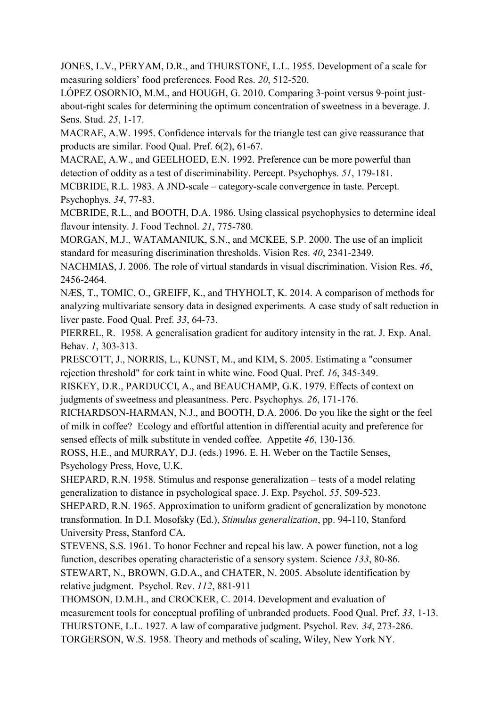JONES, L.V., PERYAM, D.R., and THURSTONE, L.L. 1955. Development of a scale for measuring soldiers' food preferences. Food Res. 20, 512-520.

LÓPEZ OSORNIO, M.M., and HOUGH, G. 2010. Comparing 3-point versus 9-point justabout-right scales for determining the optimum concentration of sweetness in a beverage. J. Sens. Stud. 25, 1-17.

MACRAE, A.W. 1995. Confidence intervals for the triangle test can give reassurance that products are similar. Food Qual. Pref. 6(2), 61-67.

MACRAE, A.W., and GEELHOED, E.N. 1992. Preference can be more powerful than detection of oddity as a test of discriminability. Percept. Psychophys. 51, 179-181.

MCBRIDE, R.L. 1983. A JND-scale – category-scale convergence in taste. Percept. Psychophys. 34, 77-83.

MCBRIDE, R.L., and BOOTH, D.A. 1986. Using classical psychophysics to determine ideal flavour intensity. J. Food Technol. 21, 775-780.

MORGAN, M.J., WATAMANIUK, S.N., and MCKEE, S.P. 2000. The use of an implicit standard for measuring discrimination thresholds. Vision Res.  $40$ ,  $2341-2349$ .

NACHMIAS, J. 2006. The role of virtual standards in visual discrimination. Vision Res. 46, 2456-2464.

NÆS, T., TOMIC, O., GREIFF, K., and THYHOLT, K. 2014. A comparison of methods for analyzing multivariate sensory data in designed experiments. A case study of salt reduction in liver paste. Food Oual. Pref. 33, 64-73.

PIERREL, R. 1958. A generalisation gradient for auditory intensity in the rat. J. Exp. Anal. Behav. 1, 303-313.

PRESCOTT, J., NORRIS, L., KUNST, M., and KIM, S. 2005. Estimating a "consumer" rejection threshold" for cork taint in white wine. Food Qual. Pref. 16, 345-349.

RISKEY, D.R., PARDUCCI, A., and BEAUCHAMP, G.K. 1979. Effects of context on judgments of sweetness and pleasantness. Perc. Psychophys. 26, 171-176.

RICHARDSON-HARMAN, N.J., and BOOTH, D.A. 2006. Do you like the sight or the feel of milk in coffee? Ecology and effortful attention in differential acuity and preference for sensed effects of milk substitute in vended coffee. Appetite 46, 130-136.

ROSS, H.E., and MURRAY, D.J. (eds.) 1996. E. H. Weber on the Tactile Senses, Psychology Press, Hove, U.K.

SHEPARD, R.N. 1958. Stimulus and response generalization – tests of a model relating generalization to distance in psychological space. J. Exp. Psychol. 55, 509-523.

SHEPARD, R.N. 1965. Approximation to uniform gradient of generalization by monotone transformation. In D.I. Mosofsky (Ed.), Stimulus generalization, pp. 94-110, Stanford University Press, Stanford CA.

STEVENS, S.S. 1961. To honor Fechner and repeal his law. A power function, not a log function, describes operating characteristic of a sensory system. Science 133, 80-86. STEWART, N., BROWN, G.D.A., and CHATER, N. 2005. Absolute identification by relative judgment. Psychol. Rev. 112, 881-911

THOMSON, D.M.H., and CROCKER, C. 2014. Development and evaluation of measurement tools for conceptual profiling of unbranded products. Food Qual. Pref. 33, 1-13. THURSTONE, L.L. 1927. A law of comparative judgment. Psychol. Rev. 34, 273-286. TORGERSON, W.S. 1958. Theory and methods of scaling, Wiley, New York NY.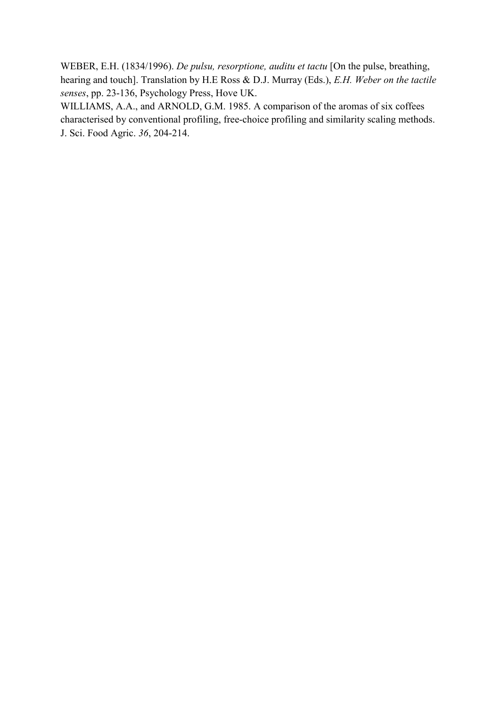WEBER, E.H. (1834/1996). De pulsu, resorptione, auditu et tactu [On the pulse, breathing, hearing and touch]. Translation by H.E Ross & D.J. Murray (Eds.), E.H. Weber on the tactile senses, pp. 23-136, Psychology Press, Hove UK.

WILLIAMS, A.A., and ARNOLD, G.M. 1985. A comparison of the aromas of six coffees characterised by conventional profiling, free-choice profiling and similarity scaling methods. J. Sci. Food Agric. 36, 204-214.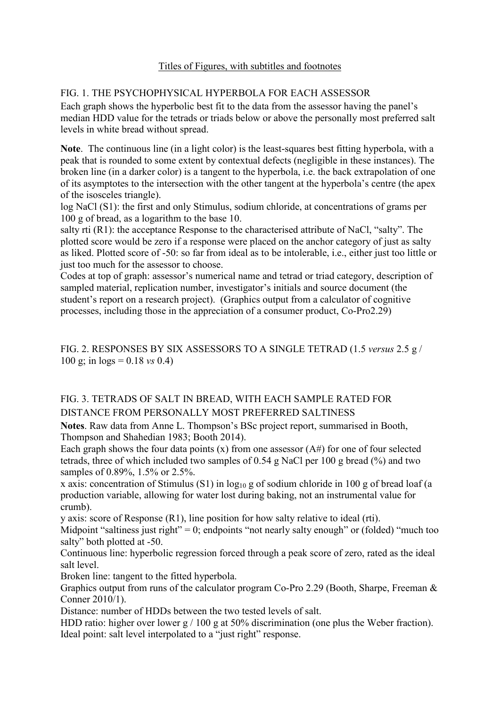#### Titles of Figures, with subtitles and footnotes

#### FIG. 1. THE PSYCHOPHYSICAL HYPERBOLA FOR EACH ASSESSOR

Each graph shows the hyperbolic best fit to the data from the assessor having the panel's median HDD value for the tetrads or triads below or above the personally most preferred salt levels in white bread without spread.

Note. The continuous line (in a light color) is the least-squares best fitting hyperbola, with a peak that is rounded to some extent by contextual defects (negligible in these instances). The broken line (in a darker color) is a tangent to the hyperbola, i.e. the back extrapolation of one of its asymptotes to the intersection with the other tangent at the hyperbola's centre (the apex of the isosceles triangle).

log NaCl (S1): the first and only Stimulus, sodium chloride, at concentrations of grams per 100 g of bread, as a logarithm to the base 10.

salty rti (R1): the acceptance Response to the characterised attribute of NaCl, "salty". The plotted score would be zero if a response were placed on the anchor category of just as salty as liked. Plotted score of -50: so far from ideal as to be intolerable, i.e., either just too little or just too much for the assessor to choose.

Codes at top of graph: assessor's numerical name and tetrad or triad category, description of sampled material, replication number, investigator's initials and source document (the student's report on a research project). (Graphics output from a calculator of cognitive processes, including those in the appreciation of a consumer product, Co-Pro2.29)

FIG. 2. RESPONSES BY SIX ASSESSORS TO A SINGLE TETRAD (1.5 versus 2.5 g / 100 g; in  $\log s = 0.18$  vs 0.4)

#### FIG. 3. TETRADS OF SALT IN BREAD, WITH EACH SAMPLE RATED FOR DISTANCE FROM PERSONALLY MOST PREFERRED SALTINESS

Notes. Raw data from Anne L. Thompson's BSc project report, summarised in Booth, Thompson and Shahedian 1983; Booth 2014).

Each graph shows the four data points (x) from one assessor  $(A#)$  for one of four selected tetrads, three of which included two samples of  $0.54$  g NaCl per 100 g bread  $\frac{9}{0}$  and two samples of 0.89%, 1.5% or 2.5%.

x axis: concentration of Stimulus (S1) in  $log_{10}$  g of sodium chloride in 100 g of bread loaf (a production variable, allowing for water lost during baking, not an instrumental value for crumb).

y axis: score of Response (R1), line position for how salty relative to ideal (rti).

Midpoint "saltiness just right" = 0; endpoints "not nearly salty enough" or (folded) "much too salty" both plotted at -50.

Continuous line: hyperbolic regression forced through a peak score of zero, rated as the ideal salt level.

Broken line: tangent to the fitted hyperbola.

Graphics output from runs of the calculator program Co-Pro 2.29 (Booth, Sharpe, Freeman  $\&$ Conner  $2010/1$ )

Distance: number of HDDs between the two tested levels of salt.

HDD ratio: higher over lower  $g/100$  g at 50% discrimination (one plus the Weber fraction). Ideal point: salt level interpolated to a "just right" response.